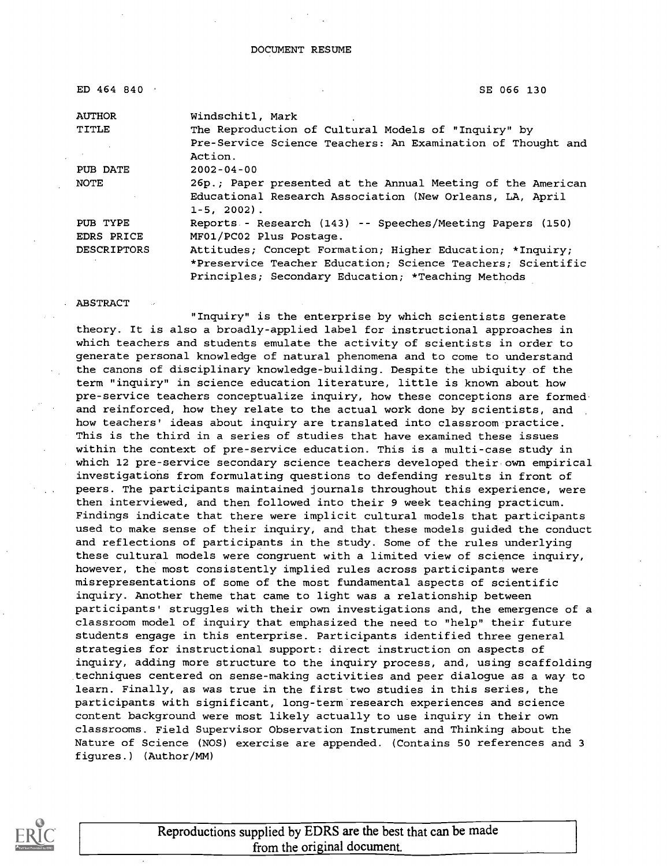| ED 464 840         | SE 066 130                                                                                                                               |
|--------------------|------------------------------------------------------------------------------------------------------------------------------------------|
| <b>AUTHOR</b>      | Windschitl. Mark                                                                                                                         |
| TITLE              | The Reproduction of Cultural Models of "Inquiry" by                                                                                      |
|                    | Pre-Service Science Teachers: An Examination of Thought and<br>Action.                                                                   |
| PUB DATE           | $2002 - 04 - 00$                                                                                                                         |
| NOTE               | 26p.; Paper presented at the Annual Meeting of the American<br>Educational Research Association (New Orleans, LA, April<br>$1-5, 2002$ . |
| PUB TYPE           | Reports - Research (143) -- Speeches/Meeting Papers (150)                                                                                |
| EDRS PRICE         | MF01/PC02 Plus Postage.                                                                                                                  |
| <b>DESCRIPTORS</b> | Attitudes; Concept Formation; Higher Education; *Inquiry;<br>*Preservice Teacher Education; Science Teachers; Scientific                 |

Principles; Secondary Education; \*Teaching Methods

ABSTRACT

"Inquiry" is the enterprise by which scientists generate theory. It is also a broadly-applied label for instructional approaches in which teachers and students emulate the activity of scientists in order to generate personal knowledge of natural phenomena and to come to understand the canons of disciplinary knowledge-building. Despite the ubiquity of the term "inquiry" in science education literature, little is known about how pre-service teachers conceptualize inquiry, how these conceptions are formed and reinforced, how they relate to the actual work done by scientists, and how teachers' ideas about inquiry are translated into classroom practice. This is the third in a series of studies that have examined these issues within the context of pre-service education. This is a multi-case study in which 12 pre-service secondary science teachers developed their own empirical investigations from formulating questions to defending results in front of peers. The participants maintained journals throughout this experience, were then interviewed, and then followed into their 9 week teaching practicum. Findings indicate that there were implicit cultural models that participants used to make sense of their inquiry, and that these models guided the conduct and reflections of participants in the study. Some of the rules underlying these cultural models were congruent with a limited view of science inquiry, however, the most consistently implied rules across participants were misrepresentations of some of the most fundamental aspects of scientific inquiry. Another theme that came to light was a relationship between participants' struggles with their own investigations and, the emergence of a classroom model of inquiry that emphasized the need to "help" their future students engage in this enterprise. Participants identified three general strategies for instructional support: direct instruction on aspects of inquiry, adding more structure to the inquiry process, and, using scaffolding techniques centered on sense-making activities and peer dialogue as a way to learn. Finally, as was true in the first two studies in this series, the participants with significant, long-term research experiences and science content background were most likely actually to use inquiry in their own classrooms. Field Supervisor Observation Instrument and Thinking about the Nature of Science (NOS) exercise are appended. (Contains 50 references and 3 figures.) (Author/MM)



Reproductions supplied by EDRS are the best that can be made from the original document.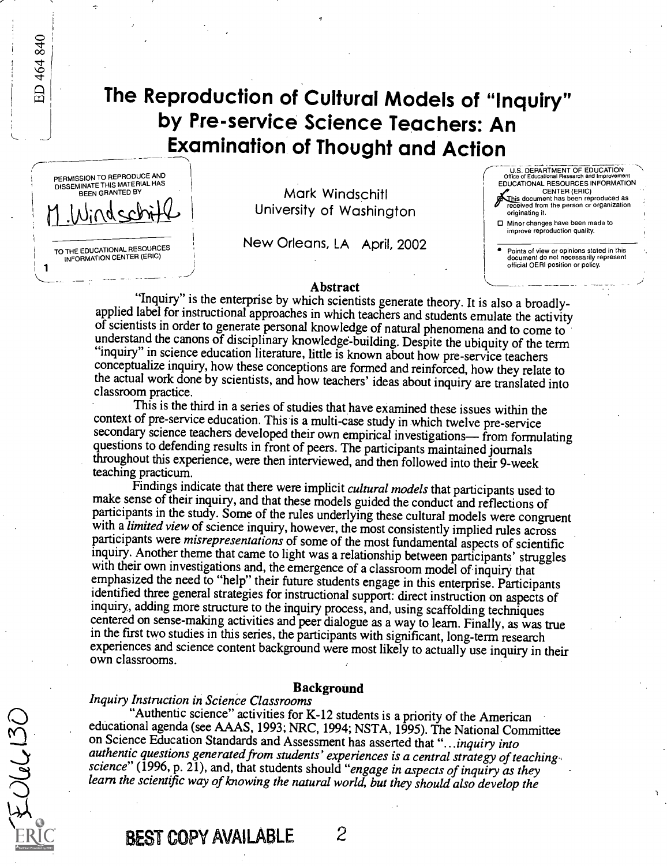The Reproduction of Cultural Models of "Inquiry" by Pre-service Science Teachers: An Examination of Thought and Action



ED 464 840

 $\mathbb{R} \setminus \mathbb{R}$  University of Washington Mark Windschitl

New Orleans, LA April, 2002

U.S. DEPARTMENT OF EDUCATION And DIE<br>Office of Educational Research and Improvement EDUCATIONAL RESOURCES INFORMATION '

CENTER (ERIC)<br>
This document has been reproduced as<br>
received from the person or organization originating it.

□ Minor changes have been made to improve reproduction quality.

Points of view or opinions stated in this document do not necessarily represent official OERI position or policy.

Abstract<br>"Inquiry" is the enterprise by which scientists generate theory. It is also a broadlyapplied label for instructional approaches in which teachers and students emulate the activity of scientists in order to generate personal knowledge of natural phenomena and to come to understand the canons of disciplinary knowledge-building. Despite the ubiquity of the term<br>"inquiry" in science education literature, little is known about how pre-service teachers conceptualize inquiry, how these conceptions are formed and reinforced, how they relate to the actual work done by scientists, and how teachers' ideas about inquiry are translated into classroom practice.

This is the third in a series of studies that have examined these issues within the context of pre-service education. This is a multi-case study in which twelve pre-service secondary science teachers developed their own empirical investigations— from formulating questions to defending results in front of peers. The participants maintained journals throughout this experience, were then interviewed, and then followed into their 9-week teaching practicum.<br>Findings indicate that there were implicit *cultural models* that participants used to

make sense of their inquiry, and that these models guided the conduct and reflections of<br>participants in the study. Some of the rules underlying these cultural models were congruent<br>with a *limited view* of science inquiry with their own investigations and, the emergence of a classroom model of inquiry that<br>emphasized the need to "help" their future students engage in this enterprise. Participants identified three general strategies for instructional support: direct instruction on aspects of inquiry, adding more structure to the inquiry process, and, using scaffolding techniques centered on sense-making activities and peer dialogue as a way to learn. Finally, as was true in the first two studies in this series, the participants with significant, long-term research experiences and science content background were most likely to actually use inquiry in their own classrooms.

### Background

#### Inquiry Instruction in Science Classrooms

Inquiry Instruction in Science Classrooms<br>
"Authentic science" activities for K-12 students is a priority of the American<br>
educational agenda (see AAAS, 1993; NRC, 1994; NSTA, 1995). The National Committee "Authentic science" activities for K-12 students is a priority of the American on Science Education Standards and Assessment has asserted that "...inquiry into authentic questions generated from students' experiences is a central strategy of teaching science" (1996, p. 21), and, that students should "engage in aspects of inquiry as they learn the scientific way of knowing the natural world, but they should also develop the

BEST COPY AVAILABLE 2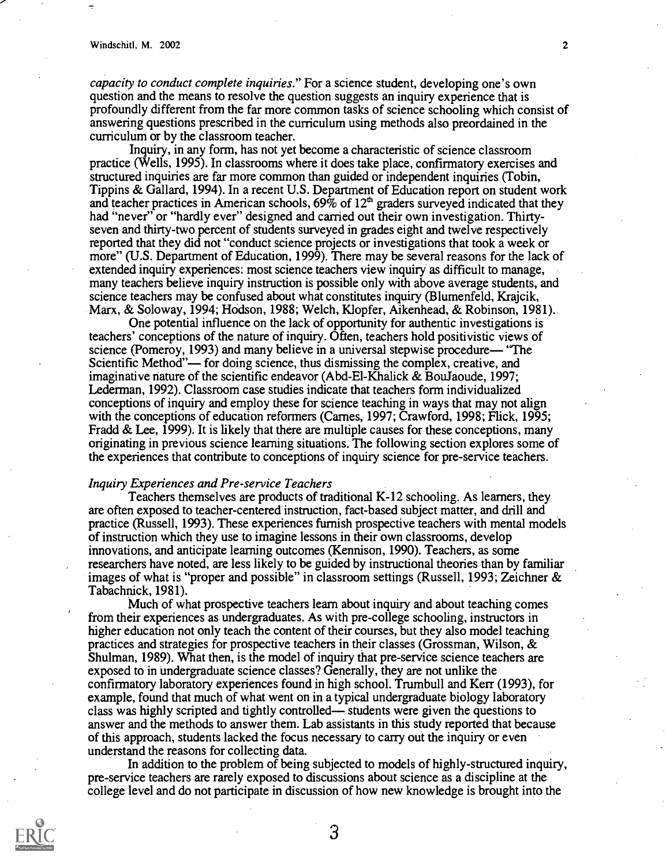#### Windschitl, M. 2002 2

capacity to conduct complete inquiries." For a science student, developing one's own question and the means to resolve the question suggests an inquiry experience that is profoundly different from the far more common tasks of science schooling which consist of answering questions prescribed in the curriculum using methods also preordained in the curriculum or by the classroom teacher.

Inquiry, in any form, has not yet become a characteristic of science classroom practice (Wells, 1995). In classrooms where it does take place, confirmatory exercises and structured inquiries are far more common than guided or independent inquiries (Tobin, Tippins & Gallard, 1994). In a recent U.S. Department of Education report on student work and teacher practices in American schools,  $69\%$  of  $12<sup>th</sup>$  graders surveyed indicated that they had "never" or "hardly ever" designed and carried out their own investigation. Thirtyseven and thirty-two percent of students surveyed in grades eight and twelve respectively reported that they did not "conduct science projects or investigations that took a week or more" (U.S. Department of Education, 1999). There may be several reasons for the lack of extended inquiry experiences: most science teachers view inquiry as difficult to manage, many teachers believe inquiry instruction is possible only with above average students, and science teachers may be confused about what constitutes inquiry (Blumenfeld, Krajcik, Marx, & Soloway, 1994; Hodson, 1988; Welch, Klopfer, Aikenhead, & Robinson, 1981).

One potential influence on the lack of opportunity for authentic investigations is teachers' conceptions of the nature of inquiry. Often, teachers hold positivistic views of science (Pomeroy, 1993) and many believe in a universal stepwise procedure— "The Scientific Method"— for doing science, thus dismissing the complex, creative, and imaginative nature of the scientific endeavor (Abd-El-Khalick & BouJaoude, 1997; Lederman, 1992). Classroom case studies indicate that teachers form individualized conceptions of inquiry and employ these for science teaching in ways that may not align with the conceptions of education reformers (Carnes, 1997; Crawford, 1998; Flick, 1995; Fradd & Lee, 1999). It is likely that there are multiple causes for these conceptions, many originating in previous science learning situations. The following section explores some of the experiences that contribute to conceptions of inquiry science for pre-service teachers.

#### Inquiry Experiences and Pre-service Teachers

Teachers themselves are products of traditional K-12 schooling. As learners, they are often exposed to teacher-centered instruction, fact-based subject matter, and drill and practice (Russell, 1993). These experiences furnish prospective teachers with mental models of instruction which they use to imagine lessons in their own classrooms, develop innovations, and anticipate learning outcomes (Kennison, 1990). Teachers, as some researchers have noted, are less likely to be guided by instructional theories than by familiar images of what is "proper and possible" in classroom settings (Russell, 1993; Zeichner & Tabachnick, 1981).

Much of what prospective teachers learn about inquiry and about teaching comes from their experiences as undergraduates. As with pre-college schooling, instructors in higher education not only teach the content of their courses, but they also model teaching practices and strategies for prospective teachers in their classes (Grossman, Wilson, & Shulman, 1989). What then, is the model of inquiry that pre-service science teachers are exposed to in undergraduate science classes? Generally, they are not unlike the confirmatory laboratory experiences found in high school. Trumbull and Kerr (1993), for example, found that much of what went on in a typical undergraduate biology laboratory class was highly scripted and tightly controlled— students were given the questions to answer and the methods to answer them. Lab assistants in this study reported that because of this approach, students lacked the focus necessary to carry out the inquiry or even understand the reasons for collecting data.

In addition to the problem of being subjected to models of highly-structured inquiry, pre-service teachers are rarely exposed to discussions about science as a discipline at the college level and do not participate in discussion of how new knowledge is brought into the

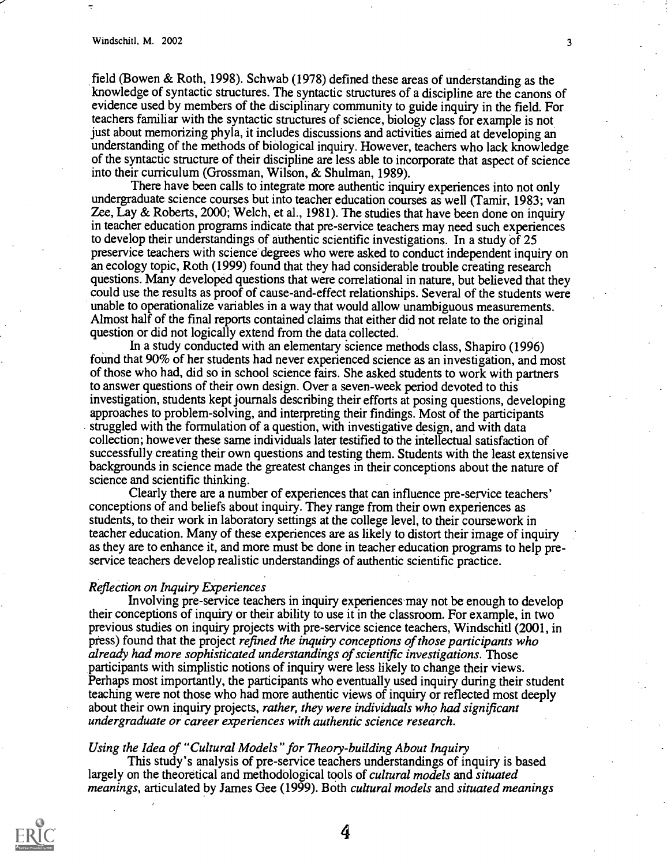field (Bowen & Roth, 1998). Schwab (1978) defined these areas of understanding as the knowledge of syntactic structures. The syntactic structures of a discipline are the canons of evidence used by members of the disciplinary community to guide inquiry in the field. For teachers familiar with the syntactic structures of science, biology class for example is not just about memorizing phyla, it includes discussions and activities aimed at developing an understanding of the methods of biological inquiry. However, teachers who lack knowledge of the syntactic structure of their discipline are less able to incorporate that aspect of science into their curriculum (Grossman, Wilson, & Shulman, 1989).

There have been calls to integrate more authentic inquiry experiences into not only undergraduate science courses but into teacher education courses as well (Tamir, 1983; van Zee, Lay & Roberts, 2000; Welch, et al., 1981). The studies that have been done on inquiry in teacher education programs indicate that pre-service teachers may need such experiences to develop their understandings of authentic scientific investigations. In a study of 25 preservice teachers with science degrees who were asked to conduct independent inquiry on an ecology topic, Roth (1999) found that they had considerable trouble creating research questions. Many developed questions that were correlational in nature, but believed that they could use the results as proof of cause-and-effect relationships. Several of the students were unable to operationalize variables in a way that would allow unambiguous measurements. Almost half of the final reports contained claims that either did not relate to the original question or did not logically extend from the data collected.

In a study conducted with an elementary science methods class, Shapiro (1996) found that 90% of her students had never experienced science as an investigation, and most of those who had, did so in school science fairs. She asked students to work with partners to answer questions of their own design. Over a seven-week period devoted to this investigation, students kept journals describing their efforts at posing questions, developing approaches to problem-solving, and interpreting their findings. Most of the participants struggled with the formulation of a question, with investigative design, and with data collection; however these same individuals later testified to the intellectual satisfaction of successfully creating their own questions and testing them. Students with the least extensive backgrounds in science made the greatest changes in their conceptions about the nature of science and scientific thinking.

Clearly there are a number of experiences that can influence pre-service teachers' conceptions of and beliefs about inquiry. They range from their own experiences as students, to their work in laboratory settings at the college level, to their coursework in teacher education. Many of these experiences are as likely to distort their image of inquiry as they are to enhance it, and more must be done in teacher education programs to help preservice teachers develop realistic understandings of authentic scientific practice.

#### Reflection on Inquiry Experiences

Involving pre-service teachers in inquiry experiences may not be enough to develop their conceptions of inquiry or their ability to use it in the classroom. For example, in two previous studies on inquiry projects with pre-service science teachers, Windschitl (2001, in press) found that the project refined the inquiry conceptions of those participants who already had more sophisticated understandings of scientific investigations. Those participants with simplistic notions of inquiry were less likely to change their views. Perhaps most importantly, the participants who eventually used inquiry during their student teaching were not those who had more authentic views of inquiry or reflected most deeply about their own inquiry projects, rather, they were individuals who had significant undergraduate or career experiences with authentic science research.

#### Using the Idea of "Cultural Models" for Theory-building About Inquiry

This study's analysis of pre-service teachers understandings of inquiry is based largely on the theoretical and methodological tools of *cultural models* and *situated* meanings, articulated by James Gee (1999). Both *cultural models* and *situated meanings* 

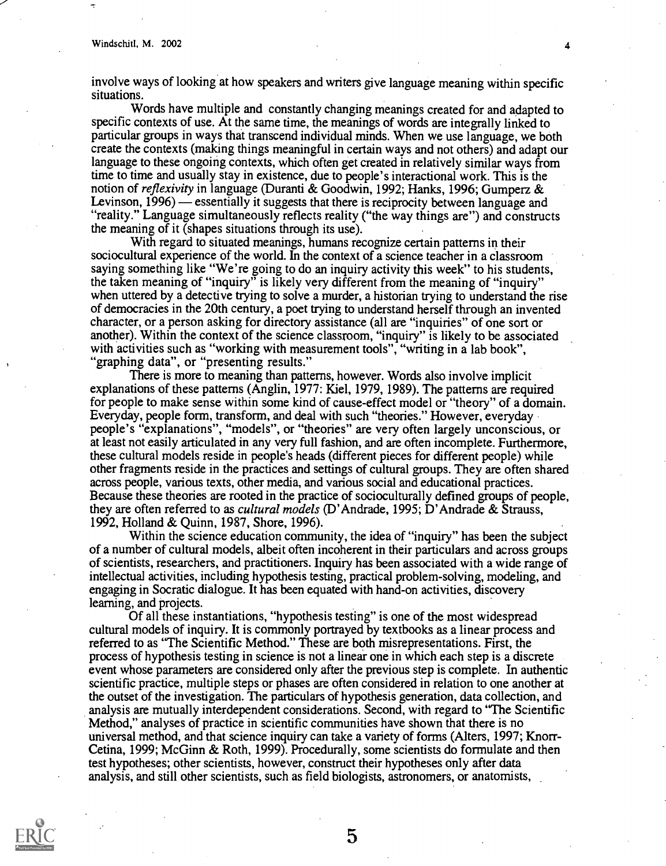involve ways of looking at how speakers and writers give language meaning within specific situations.

Words have multiple and constantly changing meanings created for and adapted to specific contexts of use. At the same time, the meanings of words are integrally linked to particular groups in ways that transcend individual minds. When we use language, we both create the contexts (making things meaningful in certain ways and not others) and adapt our language to these ongoing contexts, which often get created in relatively similar ways from time to time and usually stay in existence, due to people's interactional work. This is the notion of reflexivity in language (Duranti & Goodwin, 1992; Hanks, 1996; Gumperz & Levinson, 1996) — essentially it suggests that there is reciprocity between language and "reality." Language simultaneously reflects reality ("the way things are") and constructs the meaning of it (shapes situations through its use).

With regard to situated meanings, humans recognize certain patterns in their sociocultural experience of the world. In the context of a science teacher in a classroom saying something like "We're going to do an inquiry activity this week" to his students, the taken meaning of "inquiry" is likely very different from the meaning of "inquiry" when uttered by a detective trying to solve a murder, a historian trying to understand the rise of democracies in the 20th century, a poet trying to understand herself through an invented character, or a person asking for directory assistance (all are "inquiries" of one sort or another). Within the context of the science classroom, "inquiry" is likely to be associated with activities such as "working with measurement tools", "writing in a lab book", "graphing data", or "presenting results."

There is more to meaning than patterns, however. Words also involve implicit explanations of these patterns (Anglin, 1977: Kiel, 1979, 1989). The patterns are required for people to make sense within some kind of cause-effect model or "theory" of a domain. Everyday, people form, transform, and deal with such "theories." However, everyday people's "explanations", "models", or "theories" are very often largely unconscious, or at least not easily articulated in any very full fashion, and are often incomplete. Furthermore, these cultural models reside in people's heads (different pieces for different people) while other fragments reside in the practices and settings of cultural groups. They are often shared across people, various texts, other media, and various social and educational practices. Because these theories are rooted in the practice of socioculturally defined groups of people, they are often referred to as cultural models (D'Andrade, 1995; D'Andrade & Strauss, 1992, Holland & Quinn, 1987, Shore, 1996).

Within the science education community, the idea of "inquiry" has been the subject of a number of cultural models, albeit often incoherent in their particulars and across groups of scientists, researchers, and practitioners. Inquiry has been associated with a wide range of intellectual activities, including hypothesis testing, practical problem-solving, modeling, and engaging in Socratic dialogue. It has been equated with hand-on activities, discovery learning, and projects.

Of all these instantiations, "hypothesis testing" is one of the most widespread cultural models of inquiry. It is commonly portrayed by textbooks as a linear process and referred to as "The Scientific Method." These are both misrepresentations. First, the process of hypothesis testing in science is not a linear one in which each step is a discrete event whose parameters are considered only after the previous step is complete. In authentic scientific practice, multiple steps or phases are often considered in relation to one another at the outset of the investigation. The particulars of hypothesis generation, data collection, and analysis are mutually interdependent considerations. Second, with regard to "The Scientific Method," analyses of practice in scientific communities have shown that there is no universal method, and that science inquiry can take a variety of forms (Alters, 1997; Knorr-Cetina, 1999; McGinn & Roth, 1999). Procedurally, some scientists do formulate and then test hypotheses; other scientists, however, construct their hypotheses only after data analysis, and still other scientists, such as field biologists, astronomers, or anatomists,

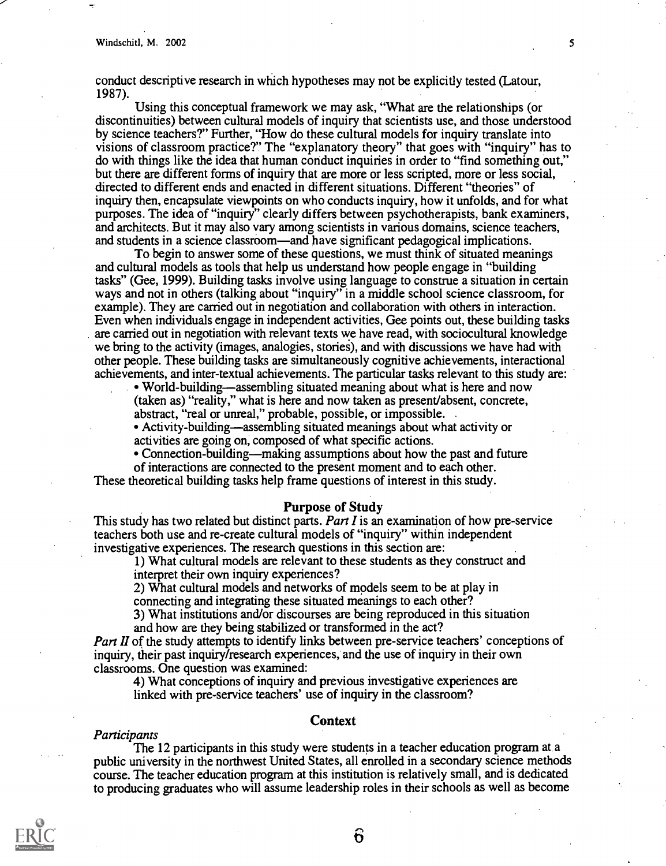conduct descriptive research in which hypotheses may not be explicitly tested (Latour, 1987).

Using this conceptual framework we may ask, "What are the relationships (or discontinuities) between cultural models of inquiry that scientists use, and those understood by science teachers?" Further, "How do these cultural models for inquiry translate into visions of classroom practice?" The "explanatory theory" that goes with "inquiry" has to do with things like the idea that human conduct inquiries in order to "find something out," but there are different forms of inquiry that are more or less scripted, more or less social, directed to different ends and enacted in different situations. Different "theories" of inquiry then, encapsulate viewpoints on who conducts inquiry, how it unfolds, and for what purposes. The idea of "inquiry" clearly differs between psychotherapists, bank examiners, and architects. But it may also vary among scientists in various domains, science teachers, and students in a science classroom—and have significant pedagogical implications.

To begin to answer some of these questions, we must think of situated meanings and cultural models as tools that help us understand how people engage in "building tasks" (Gee, 1999). Building tasks involve using language to construe a situation in certain ways and not in others (talking about "inquiry' in a middle school science classroom, for example). They are carried out in negotiation and collaboration with others in interaction. Even when individuals engage in independent activities, Gee points out, these building tasks are carried out in negotiation with relevant texts we have read, with sociocultural knowledge we bring to the activity (images, analogies, stories), and with discussions we have had with other people. These building tasks are simultaneously cognitive achievements, interactional achievements, and inter-textual achievements. The particular tasks relevant to this study are:

• World-building—assembling situated meaning about what is here and now (taken as) "reality," what is here and now taken as present/absent, concrete,

abstract, "real or unreal," probable, possible, or impossible.<br>• Activity-building—assembling situated meanings about what activity or activities are going on, composed of what specific actions.

• Connection-building—making assumptions about how the past and future of interactions are connected to the present moment and to each other.

These theoretical building tasks help frame questions of interest in this study.

#### Purpose of Study

This study has two related but distinct parts. Part I is an examination of how pre-service teachers both use and re-create cultural models of "inquiry" within independent investigative experiences. The research questions in this section are:

1) What cultural models are relevant to these students as they construct and interpret their own inquiry experiences?

2) What cultural models and networks of models seem to be at play in connecting and integrating these situated meanings to each other?

3) What institutions and/or discourses are being reproduced in this situation and how are they being stabilized or transformed in the act?

**Part II** of the study attempts to identify links between pre-service teachers' conceptions of inquiry, their past inquiry/research experiences, and the use of inquiry in their own classrooms. One question was examined:

4) What conceptions of inquiry and previous investigative experiences are linked with pre-service teachers' use of inquiry in the classroom?

### **Context**

#### **Participants**

The 12 participants in this study were students in a teacher education program at a public university in the northwest United States, all enrolled in a secondary science methods course. The teacher education program at this institution is relatively small, and is dedicated to producing graduates who will assume leadership roles in their schools as well as become

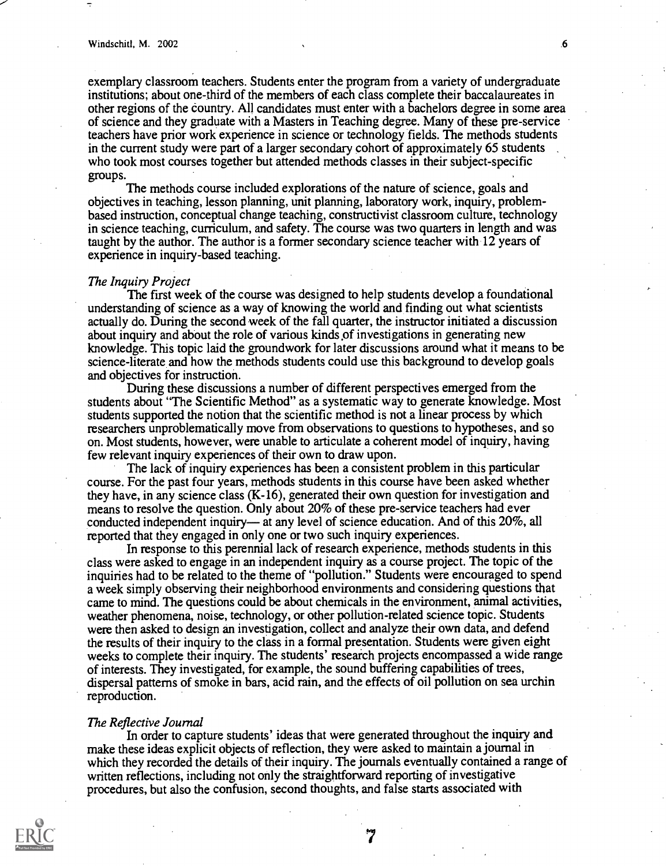exemplary classroom teachers. Students enter the program from a variety of undergraduate institutions; about one-third of the members of each class complete their baccalaureates in other regions of the 6ountry. All candidates must enter with a bachelors degree in some area of science and they graduate with a Masters in Teaching degree. Many of these pre-service teachers have prior work experience in science or technology fields. The methods students in the current study were part of a larger secondary cohort of approximately 65 students who took most courses together but attended methods classes in their subject-specific groups.

The methods course included explorations of the nature of science, goals and objectives in teaching, lesson planning, unit planning, laboratory work, inquiry, problembased instruction, conceptual change teaching, constructivist classroom culture, technology in science teaching, curriculum, and safety. The course was two quarters in length and was taught by the author. The author is a former secondary science teacher with 12 years of experience in inquiry-based teaching.

#### The Inquiry Project

The first week of the course was designed to help students develop a foundational understanding of science as a way of knowing the world and finding out what scientists actually do. During the second week of the fall quarter, the instructor initiated a discussion about inquiry and about the role of various kinds of investigations in generating new knowledge. This topic laid the groundwork for later discussions around what it means to be science-literate and how the methods students could use this background to develop goals and objectives for instruction.

During these discussions a number of different perspectives emerged from the students about "The Scientific Method" as a systematic way to generate knowledge. Most students supported the notion that the scientific method is not a linear process by which researchers unproblematically move from observations to questions to hypotheses, and so on. Most students, however, were unable to articulate a coherent model of inquiry, having few relevant inquiry experiences of their own to draw upon.

The lack of inquiry experiences has been a consistent problem in this particular course. For the past four years, methods students in this course have been asked whether they have, in any science class (K-16), generated their own question for investigation and means to resolve the question. Only about 20% of these pre-service teachers had ever conducted independent inquiry— at any level of science education. And of this 20%, all reported that they engaged in only one or two such inquiry experiences.

In response to this perennial lack of research experience, methods students in this class were asked to engage in an independent inquiry as a course project. The topic of the inquiries had to be related to the theme of "pollution." Students were encouraged to spend a week simply observing their neighborhood environments and considering questions that came to mind. The questions could be about chemicals in the environment, animal activities, weather phenomena, noise, technology, or other pollution-related science topic. Students were then asked to design an investigation, collect and analyze their own data, and defend the results of their inquiry to the class in a formal presentation. Students were given eight weeks to complete their inquiry. The students' research projects encompassed a wide range of interests. They investigated, for example, the sound buffering capabilities of trees, dispersal patterns of smoke in bars, acid rain, and the effects of oil pollution on sea urchin reproduction.

#### The Reflective Journal

In order to capture students' ideas that were generated throughout the inquiry and make these ideas explicit objects of reflection, they were asked to maintain a journal in which they recorded the details of their inquiry. The journals eventually contained a range of written reflections, including not only the straightforward reporting of investigative procedures, but also the confusion, second thoughts, and false starts associated with

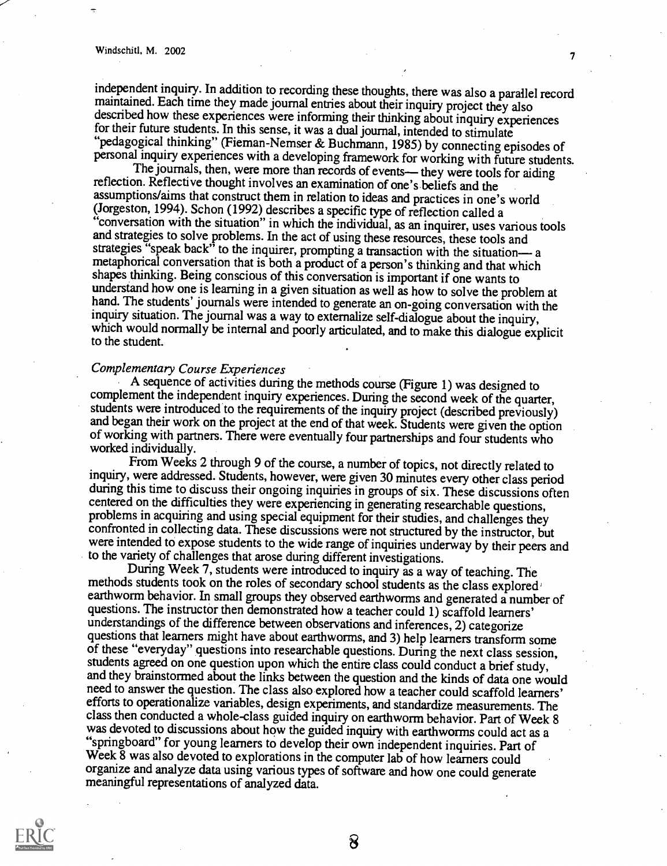independent inquiry. In addition to recording these thoughts, there was also a parallel record maintained. Each time they made journal entries about their inquiry project they also described how these experiences were informing their thinking about inquiry experiences for their future students. In this sense, it was a dual journal, intended to stimulate<br>"pedagogical thinking" (Fieman-Nemser & Buchmann, 1985) by connecting episodes of personal inquiry experiences with a developing framework for working with future students.<br>The journals, then, were more than records of events— they were tools for aiding

reflection. Reflective thought involves an examination of one's beliefs and the assumptions/aims that construct them in relation to ideas and practices in one's world (Jorgeston, 1994). Schon (1992) describes a specific type of reflection called a "conversation with the situation" in which the individual, as an inquirer, uses various tools and strategies to solve problems. In the act of using these resources, these tools and strategies "speak back" to the inquirer, prompting a transaction with the situation - a metaphorical conversation that is both a product of a person's thinking and that which shapes thinking. Being conscious of this conversation is important if one wants to understand how one is learning in a given situation as well as how to solve the problem at hand. The students' journals were intended to generate an on-going conversation with the inquiry situation. The journal was a way to externalize self-dialogue about the inquiry, which would normally be internal and poorly articulated, and to make this dialogue explicit to the student.

#### Complementary Course Experiences

A sequence of activities during the methods course (Figure 1) was designed to complement the independent inquiry experiences. During the second week of the quarter, students were introduced to the requirements of the inquiry project (described previously) and began their work on the project at the end of that week. Students were given the option of working with partners. There were eventually four partnerships and four students who worked individually.

From Weeks 2 through 9 of the course, a number of topics, not directly related to inquiry, were addressed. Students, however, were given 30 minutes every other class period during this time to discuss their ongoing inquiries in groups of six. These discussions often centered on the difficulties they were experiencing in generating researchable questions, problems in acquiring and using special equipment for their studies, and challenges they confronted in collecting data. These discussions were not structured by the instructor, but were intended to expose students to the wide range of inquiries underway by their peers and to the variety of challenges that arose during different investigations.<br>During Week 7, students were introduced to inquiry as a way of teaching. The

methods students took on the roles of secondary school students as the class explored earthworm behavior. In small groups they observed earthworms and generated a number of questions. The instructor then demonstrated how a questions that learners might have about earthworms, and 3) help learners transform some of these "everyday" questions into researchable questions. During the next class session, students agreed on one question upon which the entire class could conduct a brief study, and they brainstormed about the links between the question and the kinds of data one would need to answer the question. The class also explored how a teacher could scaffold learners' efforts to operationalize variables, design experiments, and standardize measurements. The class then conducted a whole-class guided inquiry on earthworm behavior. Part of Week 8 was devoted to discussions about how the guided inquiry with earthworms could act as a "springboard" for young learners to develop their own independent inquiries. Part of Week 8 was also devoted to explorations in the computer lab of how learners could organize and analyze data using various types of software and how one could generate meaningful representations of analyzed data.

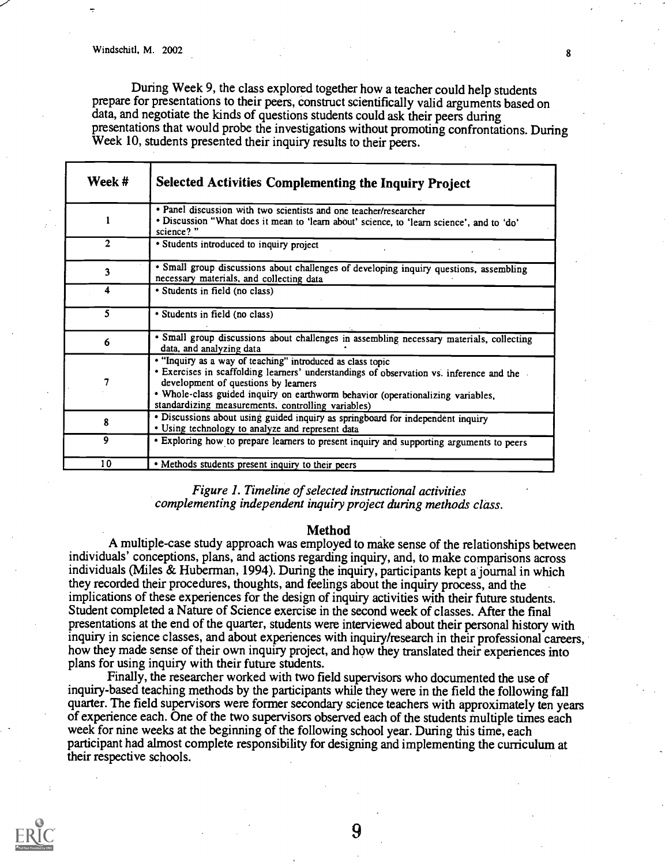During Week 9, the class explored together how a teacher could help students prepare for presentations to their peers, construct scientifically valid arguments based on data, and negotiate the kinds of questions students could ask their peers during presentations that would probe the investigations without promoting confrontations. During Week 10, students presented their inquiry results to their peers.

| Week# | Selected Activities Complementing the Inquiry Project                                                                                                                                                                                                                                                                                   |  |  |  |  |  |  |
|-------|-----------------------------------------------------------------------------------------------------------------------------------------------------------------------------------------------------------------------------------------------------------------------------------------------------------------------------------------|--|--|--|--|--|--|
|       | · Panel discussion with two scientists and one teacher/researcher<br>· Discussion "What does it mean to 'learn about' science, to 'learn science', and to 'do'<br>science?"                                                                                                                                                             |  |  |  |  |  |  |
| 2.    | • Students introduced to inquiry project                                                                                                                                                                                                                                                                                                |  |  |  |  |  |  |
| 3     | · Small group discussions about challenges of developing inquiry questions, assembling<br>necessary materials, and collecting data                                                                                                                                                                                                      |  |  |  |  |  |  |
|       | • Students in field (no class)                                                                                                                                                                                                                                                                                                          |  |  |  |  |  |  |
| 5.    | • Students in field (no class)                                                                                                                                                                                                                                                                                                          |  |  |  |  |  |  |
| 6     | · Small group discussions about challenges in assembling necessary materials, collecting<br>data, and analyzing data                                                                                                                                                                                                                    |  |  |  |  |  |  |
|       | . "Inquiry as a way of teaching" introduced as class topic<br>· Exercises in scaffolding learners' understandings of observation vs. inference and the<br>development of questions by learners<br>. Whole-class guided inquiry on earthworm behavior (operationalizing variables,<br>standardizing measurements, controlling variables) |  |  |  |  |  |  |
| 8     | · Discussions about using guided inquiry as springboard for independent inquiry<br>. Using technology to analyze and represent data                                                                                                                                                                                                     |  |  |  |  |  |  |
| 9     | • Exploring how to prepare learners to present inquiry and supporting arguments to peers                                                                                                                                                                                                                                                |  |  |  |  |  |  |
| 10    | . Methods students present inquiry to their peers                                                                                                                                                                                                                                                                                       |  |  |  |  |  |  |

Figure 1. Timeline of selected instructional activities complementing independent inquiry project during methods class.

#### Method

A multiple-case study approach was employed to make sense of the relationships between individuals' conceptions, plans, and actions regarding inquiry, and, to make comparisons across individuals (Miles & Huberman, 1994). During the inquiry, participants kept a journal in which they recorded their procedures, thoughts, and feelings about the inquiry process, and the implications of these experiences for the design of inquiry activities with their future students. Student completed a Nature of Science exercise in the second week of classes. After the final presentations at the end of the quarter, students were interviewed about their personal history with inquiry in science classes, and about experiences with inquiry/research in their professional careers, how they made sense of their own inquiry project, and how they translated their experiences into plans for using inquiry with their future students.

Finally, the researcher worked with two field supervisors who documented the use of inquiry-based teaching methods by the participants while they were in the field the following fall quarter. The field supervisors were former secondary science teachers with approximately ten years of experience each. One of the two supervisors observed each of the students multiple times each week for nine weeks at the beginning of the following school year. During this time, each participant had almost complete responsibility for designing and implementing the curriculum at their respective schools.

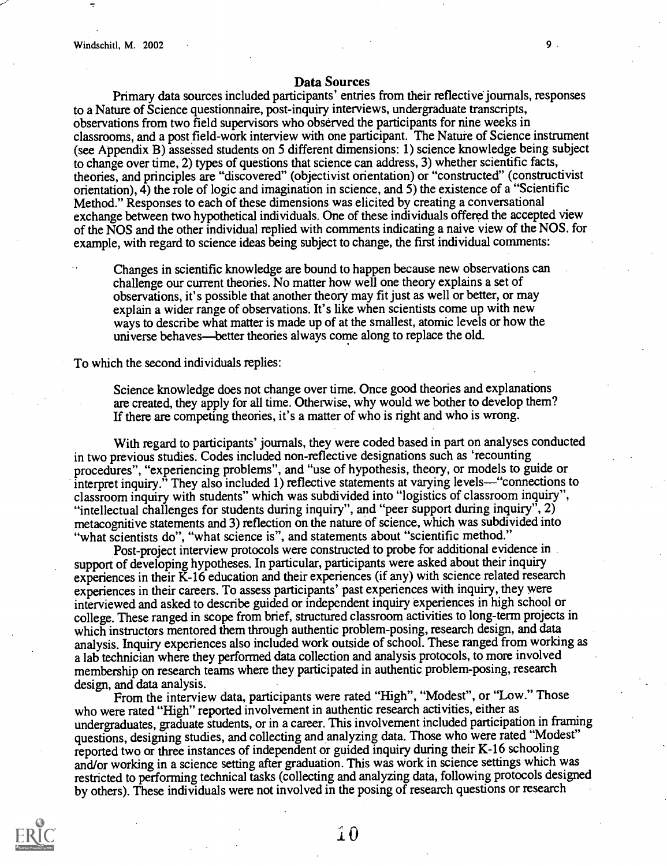#### Data Sources

Primary data sources included participants' entries from their reflective journals, responses to a Nature of Science questionnaire, post-inquiry interviews, undergraduate transcripts, observations from two field supervisors who observed the participants for nine weeks in classrooms, and a post field-work interview with one participant. The Nature of Science instrument (see Appendix B) assessed students on 5 different dimensions: 1) science knowledge being subject to change over time, 2) types of questions that science can address, 3) whether scientific facts, theories, and principles are "discovered" (objectivist orientation) or "constructed" (constructivist orientation), 4) the role of logic and imagination in science, and 5) the existence of a "Scientific Method." Responses to each of these dimensions was elicited by creating a conversational exchange between two hypothetical individuals. One of these individuals offered the accepted view of the NOS and the other individual replied with comments indicating a naive view of the NOS. for example, with regard to science ideas being subject to change, the first individual comments:

Changes in scientific knowledge are bound to happen because new observations can challenge our current theories. No matter how well one theory explains a set of observations, it's possible that another theory may fit just as well or better, or may explain a wider range of observations. It's like when scientists come up with new ways to describe what matter is made up of at the smallest, atomic levels or how the universe behaves—better theories always come along to replace the old.

To which the second individuals replies:

Science knowledge does not change over time. Once good theories and explanations are created, they apply for all time. Otherwise, why would we bother to develop them? If there are competing theories, it's a matter of who is right and who is wrong.

With regard to participants' journals, they were coded based in part on analyses conducted in two previous studies. Codes included non-reflective designations such as 'recounting procedures", "experiencing problems", and "use of hypothesis, theory, or models to guide or interpret inquiry.<sup>7</sup> They also included 1) reflective statements at varying levels—"connections to classroom inquiry with students" which was subdivided into "logistics of classroom inquiry", "intellectual challenges for students during inquiry", and "peer support during inquiry", 2) metacognitive statements and 3) reflection on the nature of science, which was subdivided into "what scientists do", "what science is", and statements about "scientific method."

Post-project interview protocols were constructed to probe for additional evidence in. support of developing hypotheses. In particular, participants were asked about their inquiry experiences in their K-16 education and their experiences (if any) with science related research experiences in their careers. To assess participants' past experiences with inquiry, they were interviewed and asked to describe guided or independent inquiry experiences in high school or college. These ranged in scope from brief, structured classroom activities to long-term projects in which instructors mentored them through authentic problem-posing, research design, and data analysis. Inquiry experiences also included work outside of school. These ranged from working as a lab technician where they performed data collection and analysis protocols, to more involved membership on research teams where they participated in authentic problem-posing, research

design, and data analysis. From the interview data, participants were rated "High", "Modest", or "Low." Those who were rated "High" reported involvement in authentic research activities, either as undergraduates, graduate students, or in a career. This involvement included participation in framing questions, designing studies, and collecting and analyzing data. Those who were rated "Modest" reported two or three instances of independent or guided inquiry during their K-16 schooling and/or working in a science setting after graduation. This was work in science settings which was restricted to performing technical tasks (collecting and analyzing data, following protocols designed by others). These individuals were not involved in the posing of research questions or research

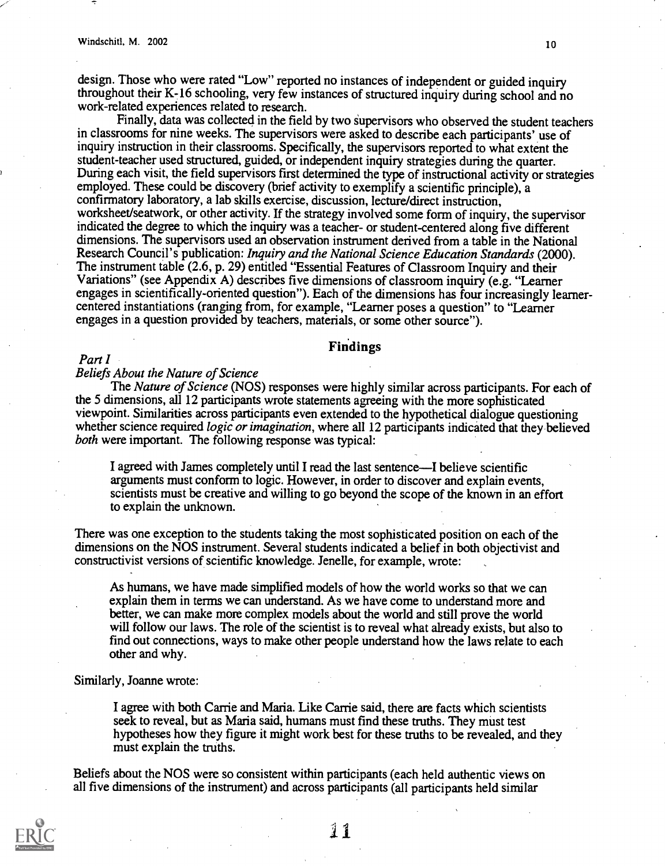design. Those who were rated "Low" reported no instances of independent or guided inquiry throughout their K-16 schooling, very few instances of structured inquiry during school and no work-related experiences related to research.

Finally, data was collected in the field by two supervisors who observed the student teachers in classrooms for nine weeks. The supervisors were asked to describe each participants' use of inquiry instruction in their classrooms. Specifically, the supervisors reported to what extent the student-teacher used structured, guided, or independent inquiry strategies during the quarter. During each visit, the field supervisors first determined the type of instructional activity or strategies employed. These could be discovery (brief activity to exemplify a scientific principle), a confirmatory laboratory, a lab skills exercise, discussion, lecture/direct instruction, worksheet/seatwork, or other activity. If the strategy involved some form of inquiry, the supervisor indicated the degree to which the inquiry was a teacher- or student-centered along five different dimensions. The supervisors used an observation instrument derived from a table in the National Research Council's publication: Inquiry and the National Science Education Standards (2000). The instrument table (2.6, P. 29) entitled "Essential Features of Classroom Inquiry and their Variations" (see Appendix A) describes five dimensions of classroom inquiry (e.g. "Learner engages in scientifically-oriented question"). Each of the dimensions has four increasingly learnercentered instantiations (ranging from, for example, "Learner poses a question" to "Learner engages in a question provided by teachers, materials, or some other source").

# Part I and the set of the set of the Findings of  $\Gamma$

#### Beliefs About the Nature of Science

The Nature of Science (NOS) responses were highly similar across participants. For each of the 5 dimensions, all 12 participants wrote statements agreeing with the more sophisticated viewpoint. Similarities across participants even extended to the hypothetical dialogue questioning whether science required logic or imagination, where all 12 participants indicated that they believed both were important. The following response was typical:

I agreed with James completely until I read the last sentence—I believe scientific arguments must conform to logic. However, in order to discover and explain events, scientists must be creative and willing to go beyond the scope of the known in an effort to explain the unknown.

There was one exception to the students taking the most sophisticated position on each of the dimensions on the NOS instrument. Several students indicated a belief in both objectivist and constructivist versions of scientific knowledge. Jenelle, for example, wrote:

As humans, we have made simplified models of how the world works so that we can explain them in terms we can understand. As we have come to understand more and better, we can make more complex models about the world and still prove the world will follow our laws. The role of the scientist is to reveal what already exists, but also to find out connections, ways to make other people understand how the laws relate to each other and why.

#### Similarly, Joanne wrote:

I agree with both Carrie and Maria. Like Canie said, there are facts which scientists seek to reveal, but as Maria said, humans must find these truths. They must test hypotheses how they figure it might work best for these truths to be revealed, and they must explain the truths.

Beliefs about the NOS were so consistent within participants (each held authentic views on all five dimensions of the instrument) and across participants (all participants held similar

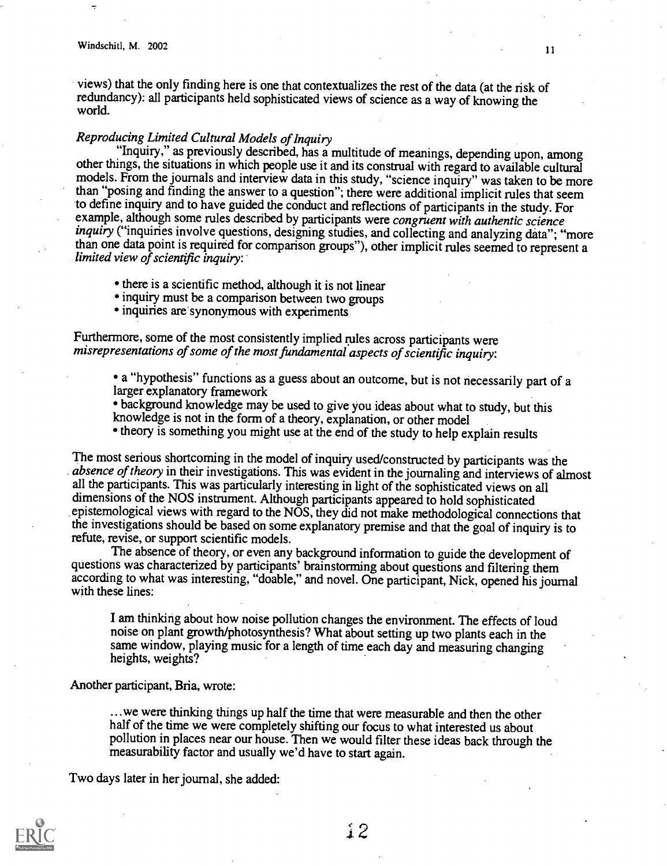views) that the only finding here is one that contextualizes the rest of the data (at the risk of redundancy): all participants held sophisticated views of science as a way of knowing the world.

### Reproducing Limited Cultural Models of Inquiry

"Inquiry," as previously described, has a multitude of meanings, depending upon, among other things, the situations in which people use it and its construal with regard to available cultural models. From the journals and interview data in this study, "science inquiry" was taken to be more than "posing and finding the answer to a question"; there were additional implicit rules that seem to define inquiry and to have guided the conduct and reflections of participants in the study. For example, although some rules described by participants were congruent with authentic science inquiry ("inquiries involve questions, designing studies, and collecting and analyzing data"; "more than one data point is required for comparison groups"), other implicit rules seemed to represent a limited view of scientific inquiry:

- there is a scientific method, although it is not linear
- inquiry must be a comparison between two groups
- inquiries are'synonymous with experiments

# Furthermore, some of the most consistently implied rules across participants were misrepresentations of some of the most fundamental aspects of scientific inquiry:

- a "hypothesis" functions as a guess about an outcome, but is not necessarily part of a larger explanatory framework
- background knowledge may be used to give you ideas about what to study, but this knowledge is not in the form of a theory, explanation, or other model
- 
- theory is something you might use at the end of the study to help explain results

The most serious shortcoming in the model of inquiry used/constructed by participants was the absence of theory in their investigations. This was evident in the journaling and interviews of almost all the participants. This was particularly interesting in light of the sophisticated views on all dimensions of the NOS instrument. Although participants appeared to hold sophisticated epistemological views with regard to the NOS, they did not make methodological connections that the investigations should be based on some explanatory premise and that the goal of inquiry is to refute, revise, or support scientific models.

The absence of theory, or even any background information to guide the development of questions was characterized by participants' brainstorming about questions and filtering them according to what was interesting, "doable," and novel. One participant, Nick, opened his journal with these lines:

I am thinking about how noise pollution changes the environment. The effects of loud noise on plant growth/photosynthesis? What about setting up two plants each in the same window, playing music for a length of time each day and measuring changing heights, weights?

#### Another participant, Bria, wrote:

...we were thinking things up half the time that were measurable and then the other half of the time we were completely shifting our focus to what interested us about pollution in places near our house. Then we would filter these ideas back through the measurability factor and usually we'd have to start again.

Two days later in her journal, she added:

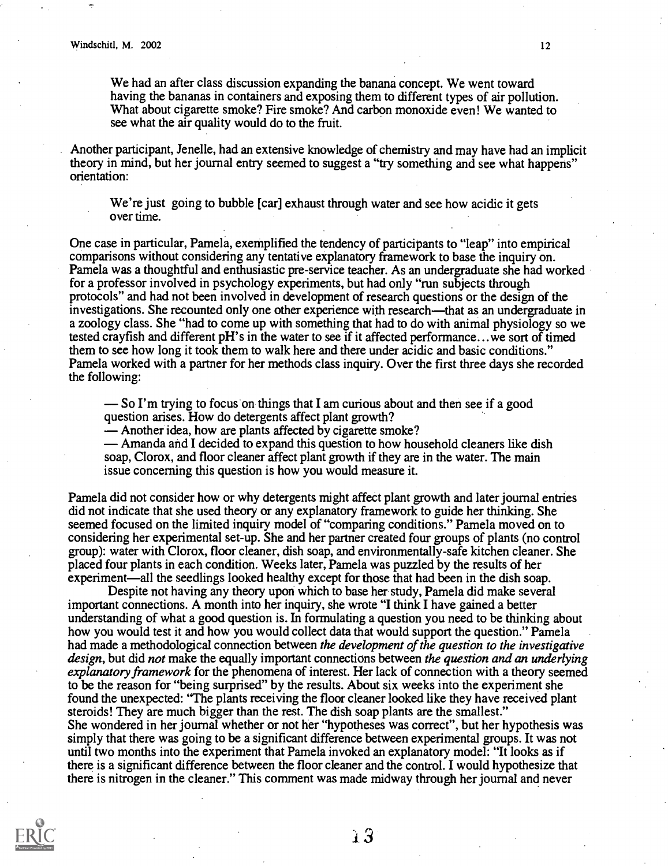We had an after class discussion expanding the banana concept. We went toward having the bananas in containers and exposing them to different types of air pollution. What about cigarette smoke? Fire smoke? And carbon monoxide even! We wanted to see what the air quality would do to the fruit.

Another participant, Jenelle, had an extensive knowledge of chemistry and may have had an implicit theory in mind, but her journal entry seemed to suggest a "try something and see what happens" orientation:

We're just going to bubble [car] exhaust through water and see how acidic it gets over time.

One case in particular, Pamela, exemplified the tendency of participants to "leap" into empirical comparisons without considering any tentative explanatory framework to base the inquiry on. Pamela was a thoughtful and enthusiastic pre-service teacher. As an undergraduate she had worked for a professor involved in psychology experiments, but had only "run subjects through protocols" and had not been involved in development of research questions or the design of the investigations. She recounted only one other experience with research—that as an undergraduate in a zoology class. She "had to come up with something that had to do with animal physiology so we tested crayfish and different pH's in the water to see if it affected performance...we sort of timed them to see how long it took them to walk here and there under acidic and basic conditions." Pamela worked with a partner for her methods class inquiry. Over the first three days she recorded the following:

 $\sim$  So I'm trying to focus on things that I am curious about and then see if a good question arises. How do detergents affect plant growth?

Another idea, how are plants affected by cigarette smoke?

Amanda and I decided to expand this question to how household cleaners like dish soap, Clorox, and floor cleaner affect plant growth if they are in the water. The main issue concerning this question is how you would measure it.

Pamela did not consider how or why detergents might affect plant growth and later journal entries did not indicate that she used theory or any explanatory framework to guide her thinking. She seemed focused on the limited inquiry model of "comparing conditions." Pamela moved on to considering her experimental set-up. She and her partner created four groups of plants (no control group): water with Clorox, floor cleaner, dish soap, and environmentally-safe kitchen cleaner. She placed four plants in each condition. Weeks later, Pamela was puzzled by the results of her experiment—all the seedlings looked healthy except for those that had been in the dish soap.

Despite not having any theory upon which to base her study, Pamela did make several important connections. A month into her inquiry, she wrote "I think I have gained a better understanding of what a good question is. In formulating a question you need to be thinking about how you would test it and how you would collect data that would support the question." Pamela had made a methodological connection between the development of the question to the investigative design, but did not make the equally important connections between the question and an underlying explanatory framework for the phenomena of interest. Her lack of connection with a theory seemed to be the reason for "being surprised" by the results. About six weeks into the experiment she found the unexpected: "The plants receiving the floor cleaner looked like they have received plant steroids! They are much bigger than the rest. The dish soap plants are the smallest." She wondered in her journal whether or not her "hypotheses was correct", but her hypothesis was simply that there was going to be a significant difference between experimental groups. It was not until two months into the experiment that Pamela invoked an explanatory model: "It looks as if there is a significant difference between the floor cleaner and the control. I would hypothesize that there is nitrogen in the cleaner." This comment was made midway through her journal and never

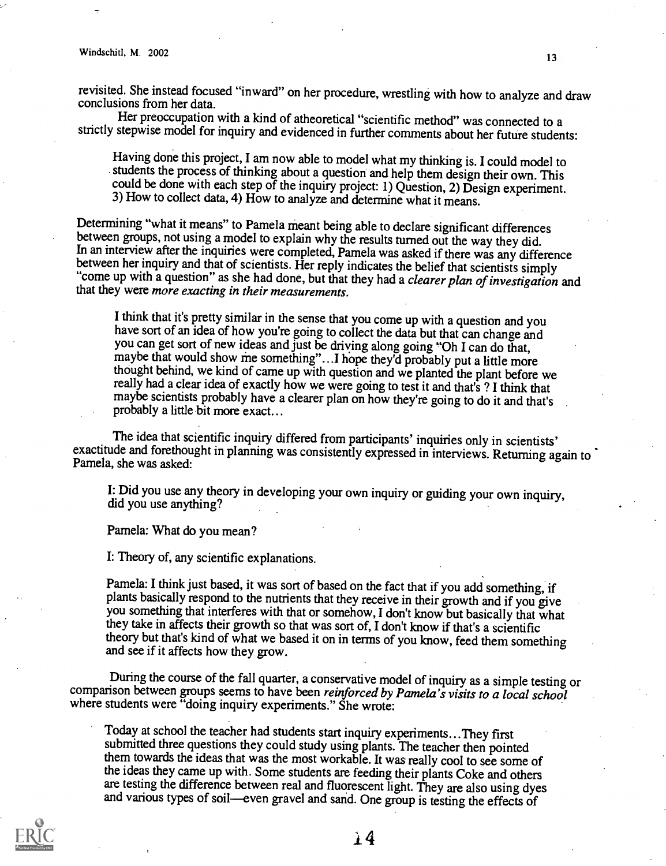revisited. She instead focused "inward" on her procedure, wrestling with how to analyze and draw conclusions from her data.

Her preoccupation with a kind of atheoretical "scientific method" was connected to a strictly stepwise model for inquiry and evidenced in further comments about her future students:

Having done this project, I am now able to model what my thinking is. I could model to students the process of thinking about a question and help them design their own. This could be done with each step of the inquiry project: 1) Question, 2) Design experiment.<br>3) How to collect data, 4) How to analyze and determine what it means.

Determining "what it means" to Pamela meant being able to declare significant differences<br>between groups, not using a model to explain why the results turned out the way they did.<br>In an interview after the inquiries were c "come up with a question" as she had done, but that they had a *clearer plan of investigation* and that they were more exacting in their measurements.

I think that it's pretty similar in the sense that you come up with a question and you have sort of an idea of how you're going to collect the data but that can change and you can get sort of new ideas and just be driving along going "Oh I can do that, maybe that would show me something"...I hope they'd probably put a little more thought behind, we kind of came up with question and we planted the plant before we really had a clear idea of exactly how we were going to test it and that's ? I think that really have a clearer plan on how they're going to do it and that's probably a little bit more exact...

The idea that scientific inquiry differed from participants' inquiries only in scientists' exactitude and forethought in planning was consistently expressed in interviews. Returning again to Pamela, she was asked:

I: Did you use any theory in developing your own inquiry or guiding your own inquiry, did you use anything?

Pamela: What do you mean?

I: Theory of, any scientific explanations.

Pamela: I think just based, it was sort of based on the fact that if you add something, if you something that interferes with that or somehow, I don't know but basically that what they take in affects their growth so that was sort of, I don't know if that's a scientific theory but that's kind of what we based it on in terms of you know, feed them something and see if it affects how they grow.

During the course of the fall quarter, a conservative model of inquiry as a simple testing or comparison between groups seems to have been *reinforced by Pamela's visits to a local school* where students were "doing inquiry experiments." She wrote:

Today at school the teacher had students start inquiry experiments...They first submitted three questions they could study using plants. The teacher then pointed them towards the ideas that was the most workable. It was really cool to see some of the ideas they came up with. Some students are feeding their plants Coke and others are testing the difference between real and fluorescent light. They are also using dyes and various types of soil—even gravel and sand. One group is testing the effects of

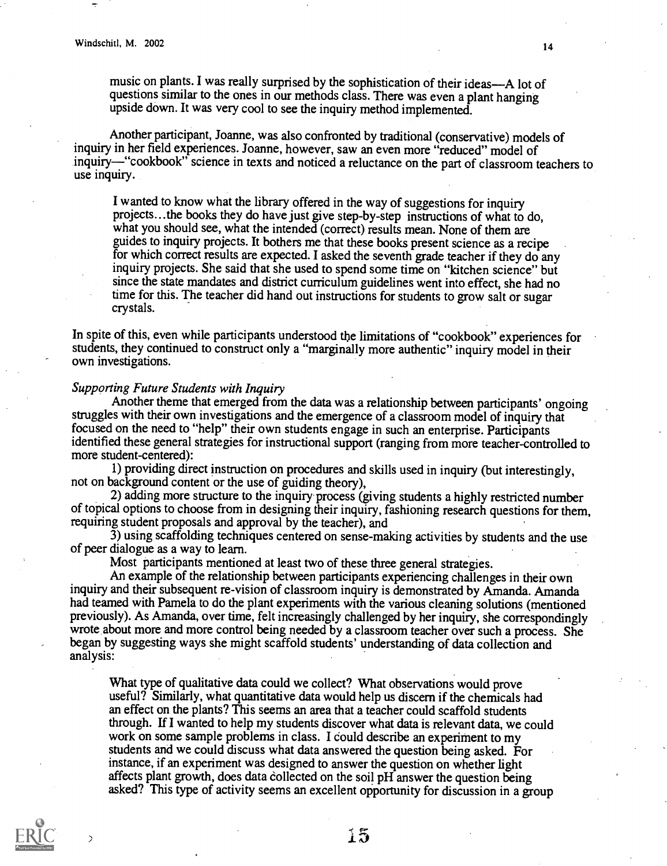music on plants. I was really surprised by the sophistication of their ideas—A lot of questions similar to the ones in our methods class. There was even a plant hanging upside down. It was very cool to see the inquiry method implemented.

Another participant, Joanne, was also confronted by traditional (conservative) models of inquiry in her field experiences. Joanne, however, saw an even more "reduced" model of inquiry—"cookbook" science in texts and noticed a reluctance on the part of classroom teachers to use inquiry.

I wanted to know what the library offered in the way of suggestions for inquiry projects...the books they do have just give step-by-step instructions of what to do, what you should see, what the intended (correct) results mean. None of them are guides to inquiry projects. It bothers me that these books present science as a recipe for which correct results are expected. I asked the seventh grade teacher if they do any inquiry projects. She said that she used to spend some time on "kitchen science" but since the state mandates and district curriculum guidelines went into effect, she had no time for this. The teacher did hand out instructions for students to grow salt or sugar crystals.

In spite of this, even while participants understood the limitations of "cookbook" experiences for students, they continued to construct only a "marginally more authentic" inquiry model in their own investigations.

#### Supporting Future Students with Inquiry

 $\overline{\phantom{a}}$ 

Another theme that emerged from the data was a relationship between participants' ongoing struggles with their own investigations and the emergence of a classroom model of inquiry that focused on the need to "help" their own students engage in such an enterprise. Participants identified these general strategies for instructional support (ranging frommore teacher-controlled to more student-centered):

1) providing direct instruction on procedures and skills used in inquiry (but interestingly, not on background content or the use of guiding theory),

2) adding more structure to the inquiry process (giving students a highly restricted number of topical options to choose from in designing their inquiry, fashioning research questions for them, requiring student proposals and approval by the teacher), and

3) using scaffolding techniques centered on sense-making activities by students and the use of peer dialogue as a way to learn.

Most participants mentioned at least two of these three general strategies.

An example of the relationship between participants experiencing challenges in their own inquiry and their subsequent re-vision of classroom inquiry is demonstrated by Amanda. Amanda had teamed with Pamela to do the plant experiments with the various cleaning solutions (mentioned previously). As Amanda, over time, felt increasingly challenged by her inquiry, she correspondingly wrote about more and more control being needed by a classroom teacher over such a process. She began by suggesting ways she might scaffold students' understanding of data collection and analysis:

What type of qualitative data could we collect? What observations would prove useful? Similarly, what quantitative data would help us discern if the chemicals had an effect on the plants? This seems an area that a teacher could scaffold students through. If I wanted to help my students discover what data is relevant data, we could work on some sample problems in class. I could describe an experiment to my students and we could discuss what data answered the question being asked. For instance, if an experiment was designed to answer the question on whether light affects plant growth, does data collected on the soil pH answer the question being asked? This type of activity seems an excellent opportunity for discussion in a group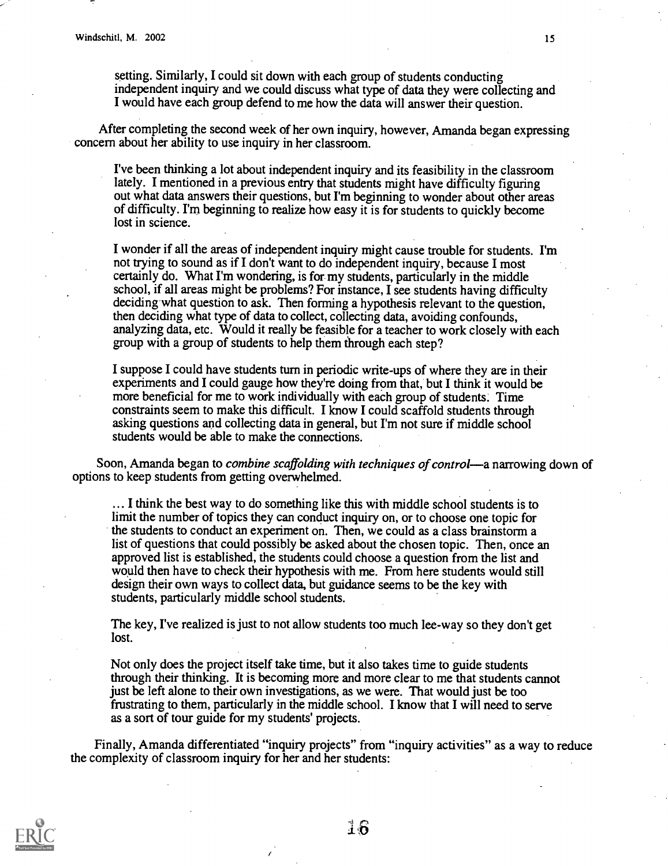setting. Similarly, I could sit down with each group of students conducting independent inquiry and we could discuss what type of data they were collecting and I would have each group defend to me how the data will answer their question.

After completing the second week of her own inquiry, however, Amanda began expressing concern about her ability to use inquiry in her classroom.

I've been thinking a lot about independent inquiry and its feasibility in the classroom lately. I mentioned in a previous entry that students might have difficulty figuring out what data answers their questions, but I'm beginning to wonder about other areas of difficulty. I'm beginning to realize how easy it is for students to quickly become lost in science.

I wonder if all the areas of independent inquiry might cause trouble for students. I'm not trying to sound as if I don't want to do independent inquiry, because I most certainly do. What I'm wondering, is for my students, particularly in the middle school, if all areas might be problems? For instance, I see students having difficulty deciding what question to ask. Then forming a hypothesis relevant to the question, then deciding what type of data to collect, collecting data, avoiding confounds, analyzing data, etc. Would it really be feasible for a teacher to work closely with each group with a group of students to help them through each step?

I suppose I could have students turn in periodic write-ups of where they are in their experiments and I could gauge how they're doing from that, but I think it would be more beneficial for me to work individually with each group of students. Time constraints seem to make this difficult. I know I could scaffold students through asking questions and collecting data in general, but I'm not sure if middle school students would be able to make the connections.

Soon, Amanda began to *combine scaffolding with techniques of control*—a narrowing down of options to keep students from getting overwhelmed.

... I think the best way to do something like this with middle school students is to limit the number of topics they can conduct inquiry on, or to choose one topic for the students to conduct an experiment on. Then, we could as a class brainstorm a list of questions that could possibly be asked about the chosen topic. Then, once an approved list is established, the students could choose a question from the list and would then have to check their hypothesis with me. From here students would still design their own ways to collect data, but guidance seems to be the key with students, particularly middle school students.

The key, I've realized is just to not allow students too much lee-way so they don't get lost.

Not only does the project itself take time, but it also takes time to guide students through their thinking. It is becoming more and more clear to me that students cannot just be left alone to their own investigations, as we were. That would just be too frustrating to them, particularly in the middle school. I know that I will need to serve as a sort of tour guide for my students' projects.

Finally, Amanda differentiated "inquiry projects" from "inquiry activities" as a way to reduce the complexity of classroom inquiry for her and her students:

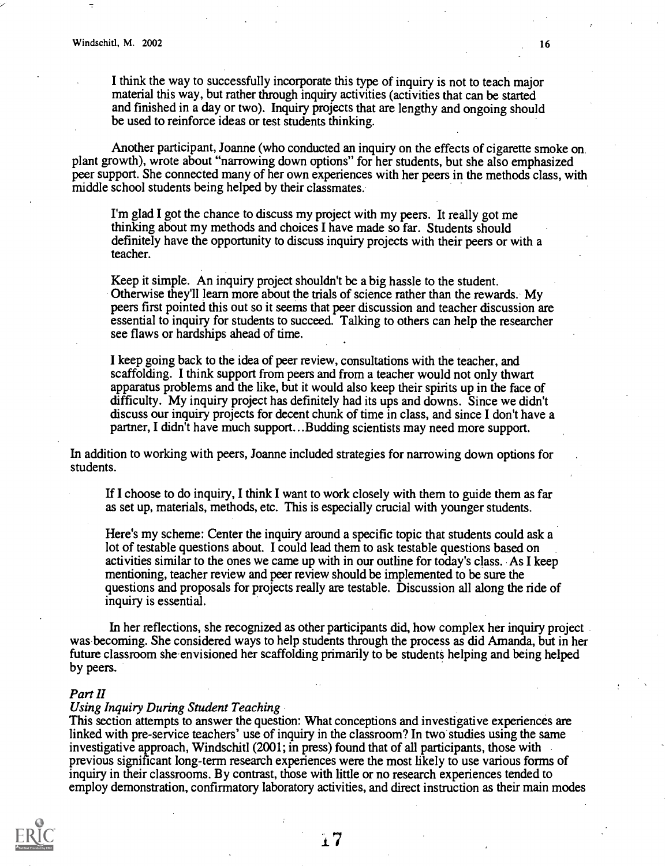I think the way to successfully incorporate this type of inquiry is not to teach major material this way, but rather through inquiry activities (activities that can be started and finished in a day or two). Inquiry projects that are lengthy and ongoing should be used to reinforce ideas or test students thinking.

Another participant, Joanne (who conducted an inquiry on the effects of cigarette smoke on plant growth), wrote about "narrowing down options" for her students, but she also emphasized peer support. She connected many of her own experiences with her peers in the methods class, with middle school students being helped by their classmates.

I'm glad I got the chance to discuss my project with my peers. It really got me thinking about my methods and choices I have made so far. Students should definitely have the opportunity to discuss inquiry projects with their peers or with a teacher.

Keep it simple. An inquiry project shouldn't be a big hassle to the student. Otherwise they'll learn more about the trials of science rather than the rewards. My peers first pointed this out so it seems that peer discussion and teacher discussion are essential to inquiry for students to succeed. Talking to others can help the researcher see flaws or hardships ahead of time.

I keep going back to the idea of peer review, consultations with the teacher, and scaffolding. I think support from peers and from a teacher would not only thwart apparatus problems and the like, but it would also keep their spirits up in the face of difficulty. My inquiry project has definitely had its ups and downs. Since we didn't discuss our inquiry projects for decent chunk of time in class, and since I don't have a partner, I didn't have much support...Budding scientists may need more support.

In addition to working with peers, Joanne included strategies for narrowing down options for students.

If I choose to do inquiry, I think I want to work closely with them to guide them as far as set up, materials, methods, etc. This is especially crucial with younger students.

Here's my scheme: Center the inquiry around a specific topic that students could ask a lot of testable questions about. I could lead them to ask testable questions based on activities similar to the ones we came up with in our outline for today's class. As I keep mentioning, teacher review and peer review should be implemented to be sure the questions and proposals for projects really are testable. Discussion all along the ride of inquiry is essential.

In her reflections, she recognized as other participants did, how complex her inquiry project was becoming. She considered ways to help students through the process as did Amanda, but in her future classroom she envisioned her scaffolding primarily to be students helping and being helped by peers.

#### Part II

#### Using Inquiry During Student Teaching

This section attempts to answer the question: What conceptions and investigative experiences are linked with pre-service teachers' use of inquiry in the classroom? In two studies using the same investigative approach, Windschitl (2001; in press) found that of all participants, those with previous significant long-term research experiences were the most likely to use various forms of inquiry in their classrooms. By contrast, those with little or no research experiences tended to employ demonstration, confirmatory laboratory activities, and direct instruction as their main modes

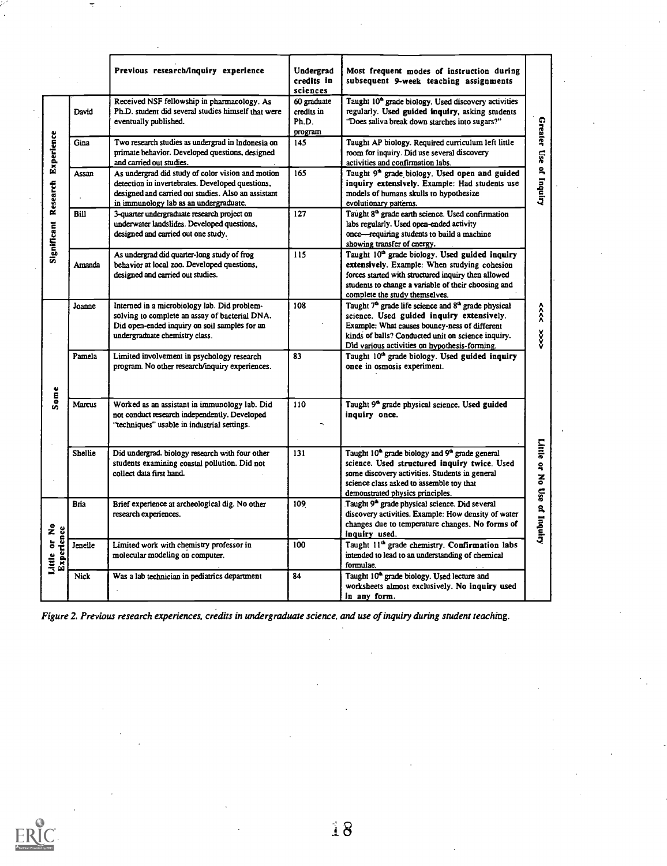|                                 |             | Previous research/inquiry experience<br>Received NSF fellowship in pharmacology. As                                                                                                                    | Undergrad<br>credits in<br>sciences<br>60 graduate | Most frequent modes of instruction during<br>subsequent 9-week teaching assignments<br>Taught 10 <sup>th</sup> grade biology. Used discovery activities                                                                                                                           |                     |  |
|---------------------------------|-------------|--------------------------------------------------------------------------------------------------------------------------------------------------------------------------------------------------------|----------------------------------------------------|-----------------------------------------------------------------------------------------------------------------------------------------------------------------------------------------------------------------------------------------------------------------------------------|---------------------|--|
|                                 | David       | Ph.D. student did several studies himself that were<br>eventually published.                                                                                                                           | credits in<br>Ph.D.<br>program                     | regularly. Used guided inquiry, asking students<br>"Does saliva break down starches into sugars?"                                                                                                                                                                                 | Greater             |  |
|                                 | Gina        | Two research studies as undergrad in Indonesia on<br>primate behavior. Developed questions, designed<br>and carried out studies.                                                                       | 145                                                | Taught AP biology. Required curriculum left little<br>room for inquiry. Did use several discovery<br>activities and confirmation labs.                                                                                                                                            |                     |  |
|                                 | Assan       | As undergrad did study of color vision and motion<br>detection in invertebrates. Developed questions,<br>designed and carried out studies. Also an assistant<br>in immunology lab as an undergraduate. | 165                                                | Taught 9 <sup>th</sup> grade biology. Used open and guided<br>inquiry extensively. Example: Had students use<br>models of humans skulls to hypothesize<br>evolutionary patterns.                                                                                                  | Use of Inquiry      |  |
| Significant Research Experience | Bill        | 3-quarter undergraduate research project on<br>underwater landslides. Developed questions,<br>designed and carried out one study.                                                                      | 127                                                | Taught 8 <sup>th</sup> grade earth science. Used confirmation<br>labs regularly. Used open-ended activity<br>once—requiring students to build a machine<br>showing transfer of energy.                                                                                            |                     |  |
|                                 | Amanda      | As undergrad did quarter-long study of frog<br>behavior at local zoo. Developed questions,<br>designed and carried out studies.                                                                        | 115                                                | Taught 10 <sup>th</sup> grade biology. Used guided inquiry<br>extensively. Example: When studying cohesion<br>forces started with structured inquiry then allowed<br>students to change a variable of their choosing and<br>complete the study themselves.                        |                     |  |
|                                 | Joanne      | Interned in a microbiology lab. Did problem-<br>solving to complete an assay of bacterial DNA.<br>Did open-ended inquiry on soil samples for an<br>undergraduate chemistry class.                      | 108                                                | Taught 7 <sup>th</sup> grade life science and 8 <sup>th</sup> grade physical<br>science. Used guided inquiry extensively.<br>Example: What causes bouncy-ness of different<br>kinds of balls? Conducted unit on science inquiry.<br>Did various activities on hypothesis-forming. | へへへ<br>č            |  |
| Some                            | Pamela      | Limited involvement in psychology research<br>program. No other research/inquiry experiences.                                                                                                          | 83                                                 | Taught 10 <sup>th</sup> grade biology. Used guided inquiry<br>once in osmosis experiment.                                                                                                                                                                                         |                     |  |
|                                 | Marcus      | Worked as an assistant in immunology lab. Did<br>not conduct research independently. Developed<br>"techniques" usable in industrial settings.                                                          | 110                                                | Taught 9 <sup>4</sup> grade physical science. Used guided<br>inquiry once.                                                                                                                                                                                                        |                     |  |
|                                 | Shellie     | Did undergrad. biology research with four other<br>students examining coastal pollution. Did not<br>collect data first hand.                                                                           | 131                                                | Taught 10 <sup>th</sup> grade biology and 9 <sup>th</sup> grade general<br>science. Used structured inquiry twice. Used<br>some discovery activities. Students in general<br>science class asked to assemble toy that<br>demonstrated physics principles.                         | Little or<br>No Use |  |
|                                 | Bria        | Brief experience at archeological dig. No other<br>research experiences.                                                                                                                               | 109                                                | Taught 9 <sup>th</sup> grade physical science. Did several<br>discovery activities. Example: How density of water<br>changes due to temperature changes. No forms of<br>inquiry used.                                                                                             | of Inquiry          |  |
| Little or No<br>Experience      | Jenelle     | Limited work with chemistry professor in<br>molecular modeling on computer.                                                                                                                            | 100                                                | Taught 11 <sup>th</sup> grade chemistry. Confirmation labs<br>intended to lead to an understanding of chemical<br>formulae.                                                                                                                                                       |                     |  |
|                                 | <b>Nick</b> | Was a lab technician in pediatrics department                                                                                                                                                          | 84                                                 | Taught 10 <sup>th</sup> grade biology. Used lecture and<br>worksheets almost exclusively. No inquiry used<br>in any form.                                                                                                                                                         |                     |  |

Figure 2. Previous research experiences, credits in undergraduate science, and use of inquiry during student teaching.

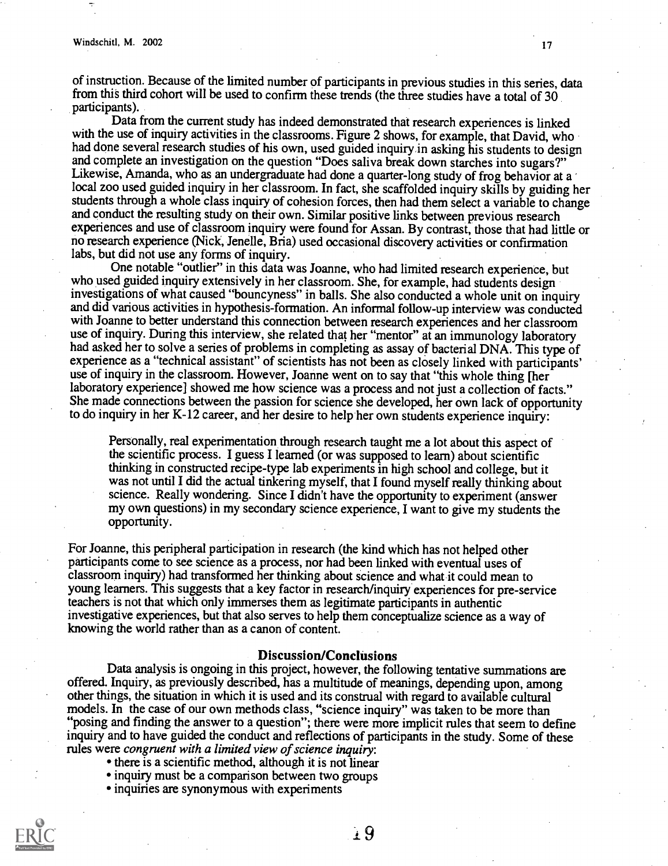of instruction. Because of the limited number of participants in previous studies in this series, data from this third cohort will be used to confirm these trends (the three studies have a total of 30 participants).

Data from the current study has indeed demonstrated that research experiences is linked with the use of inquiry activities in the classrooms. Figure 2 shows, for example, that David, who had done several research studies of his own, used guided inquiry in asking his students to design and complete an investigation on the question "Does saliva break down starches into sugars?" Likewise, Amanda, who as an undergraduate had done a quarter-long study of frog behavior at a local zoo used guided inquiry in her classroom. In fact, she scaffolded inquiry skills by guiding her students through a whole class inquiry of cohesion forces, then had them select a variable to change and conduct the resulting study on their own. Similar positive links between previous research experiences and use of classroom inquiry were found for Assan. By contrast, those that had little or no research experience (Nick, Jenelle, Bria) used occasional discovery activities or confirmation labs, but did not use any forms of inquiry.

One notable "outlier" in this data was Joanne, who had limited research experience, but who used guided inquiry extensively in her classroom. She, for example, had students design investigations of what caused "bouncyness" in balls. She also conducted a whole unit on inquiry and did various activities in hypothesis-formation. An informal follow-up interview was conducted with Joanne to better understand this connection between research experiences and her classroom use of inquiry. During this interview, she related that her "mentor" at an immunology laboratory had asked her to solve a series of problems in completing as assay of bacterial DNA. This type of experience as a "technical assistant" of scientists has not been as closely linked with participants' use of inquiry in the classroom. However, Joanne went on to say that "this whole thing [her laboratory experience] showed me how science was a process and not just a collection of facts." She made connections between the passion for science she developed, her own lack of opportunity to do inquiry in her K-12 career, and her desire to help her own students experience inquiry:

Personally, real experimentation through research taught me a lot about this aspect of the scientific process. I guess I learned (or was supposed to learn) about scientific thinking in constructed recipe-type lab experiments in high school and college, but it was not until I did the actual tinkering myself, that I found myself really thinking about science. Really wondering. Since I didn't have the opportunity to experiment (answer my own questions) in my secondary science experience, I want to give my students the opportunity.

For Joanne, this peripheral participation in research (the kind which has not helped other participants come to see science as a process, nor had been linked with eventual uses of classroom inquiry) had transformed her thinking about science and what it could mean to young learners. This suggests that a key factor in research/inquiry experiences for pre-service teachers is not that which only immerses them as legitimate participants in authentic investigative experiences, but that also serves to help them conceptualize science as a way of knowing the world rather than as a canon of content.

#### Discussion/Conclusions

Data analysis is ongoing in this project, however, the following tentative summations are offered. Inquiry, as previously described, has a multitude of meanings, depending upon, among other things, the situation in which it is used and its construal with regard to available cultural models. In the case of our own methods class, "science inquiry" was taken to be more than "posing and finding the answer to a question"; there were more implicit rules that seem to define inquiry and to have guided the conduct and reflections of participants in the study. Some of these rules were *congruent with a limited view of science inquiry*:

- there is a scientific method, although it is not linear
- inquiry must be a comparison between two groups
- inquiries are synonymous with experiments

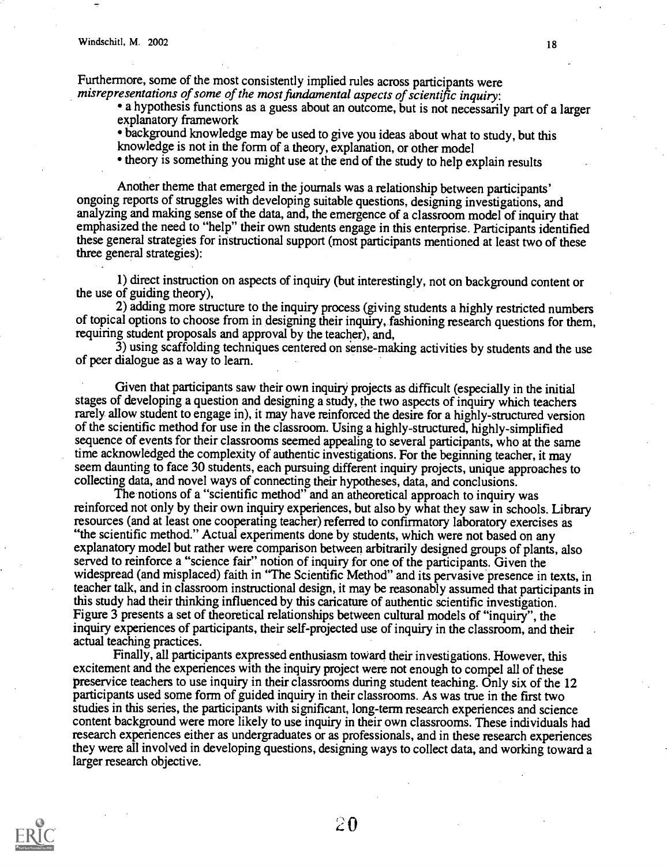Furthermore, some of the most consistently implied rules across participants were misrepresentations of some of the most fundamental aspects of scientific inquiry:

a hypothesis functions as a guess about an outcome, but is not necessarily part of a larger explanatory framework

background knowledge may be used to give you ideas about what to study, but this knowledge is not in the form of a theory, explanation, or other model

• theory is something you might use at the end of the study to help explain results

Another theme that emerged in the journals was a relationship between participants' ongoing reports of struggles with developing suitable questions, designing investigations, and analyzing and making sense of the data, and, the emergence of a classroom model of inquiry that emphasized the need to "help" their own students engage in this enterprise. Participants identified these general strategies for instructional support (most participants mentioned at least two of these three general strategies):

1) direct instruction on aspects of inquiry (but interestingly, not on background content or the use of guiding theory),

2) adding more structure to the inquiry process (giving students a highly restricted numbers of topical options to choose from in designing their inquiry, fashioning research questions for them, requiring student proposals and approval by the teacher), and,

3) using scaffolding techniques centered on sense-making activities by students and the use of peer dialogue as a way to learn.

Given that participants saw their own inquiry projects as difficult (especially in the initial stages of developing a question and designing a study, the two aspects of inquiry which teachers rarely allow student to engage in), it may have reinforced the desire for a highly-structured version of the scientific method for use in the classroom. Using a highly-structured, highly-simplified sequence of events for their classrooms seemed appealing to several participants, who at the same time acknowledged the complexity of authentic investigations. For the beginning teacher, it may seem daunting to face 30 students, each pursuing different inquiry projects, unique approaches to collecting data, and novel ways of connecting their hypotheses, data, and conclusions.

The notions of a "scientific method" and an atheoretical approach to inquiry was reinforced not only by their own inquiry experiences, but also by what they saw in schools. Library resources (and at least one cooperating teacher) referred to confirmatory laboratory exercises as "the scientific method." Actual experiments done by students, which were not based on any explanatory model but rather were comparison between arbitrarily designed groups of plants, also served to reinforce a "science fair" notion of inquiry for one of the participants. Given the widespread (and misplaced) faith in "The Scientific Method" and its pervasive presence in texts, in teacher talk, and in classroom instructional design, it may be reasonably assumed that participants in this study had their thinking influenced by this caricature of authentic scientific investigation. Figure 3 presents a set of theoretical relationships between cultural models of "inquiry", the inquiry experiences of participants, their self-projected use of inquiry in the classroom, and their actual teaching practices.

Finally, all participants expressed enthusiasm toward their investigations. However, this excitement and the experiences with the inquiry project were not enough to compel all of these preservice teachers to use inquiry in their classrooms during student teaching. Only six of the 12 participants used some form of guided inquiry in their classrooms. As was true in the first two studies in this series, the participants with significant, long-term research experiences and science content background were more likely to use inquiry in their own classrooms. These individuals had research experiences either as undergraduates or as professionals, and in these research experiences they were all involved in developing questions, designing ways to collect data, and working toward a larger research objective.

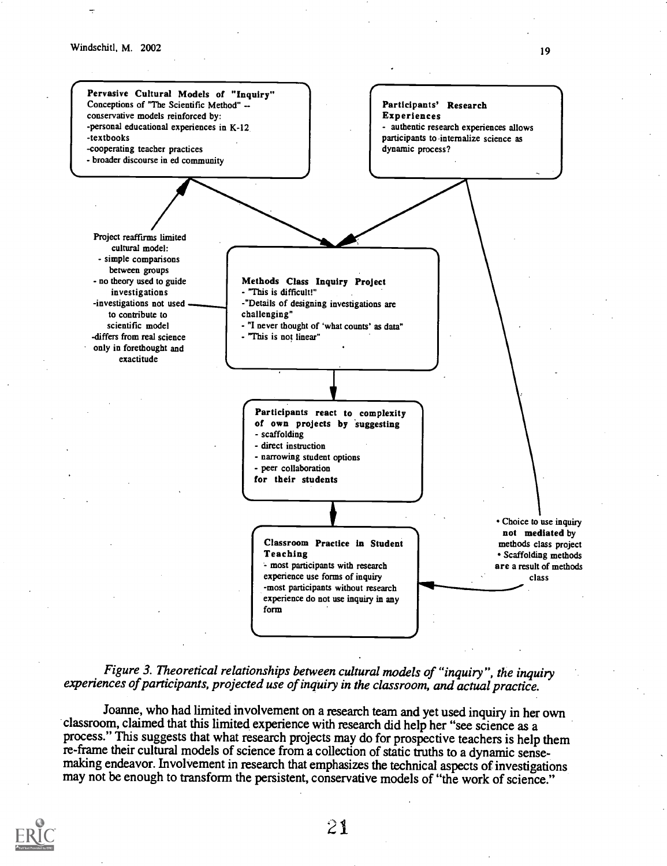

Figure 3. Theoretical relationships between cultural models of "inquiry", the inquiry experiences of participants, projected use of inquiry in the classroom, and actual practice.

Joanne, who had limited involvement on a research team and yet used inquiry in her own classroom, claimed that this limited experience with research did help her "see science as a process." This suggests that what research projects may do for prospective teachers is help them re-frame their cultural models of science from a collection of static truths to a dynamic sensemaking endeavor. Involvement in research that emphasizes the technical aspects of investigations may not be enough to transform the persistent, conservative models of "the work of science."

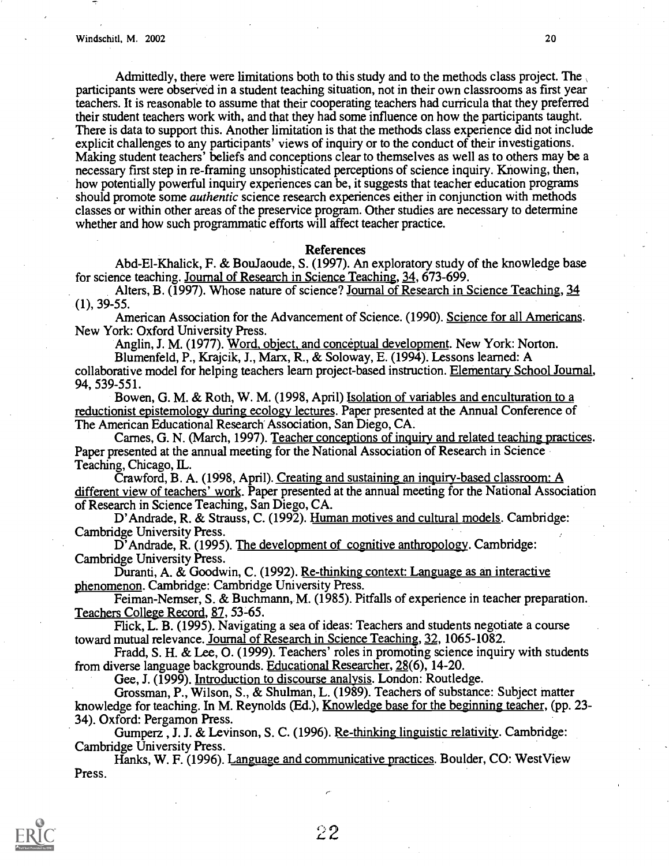Admittedly, there were limitations both to this study and to the methods class project. The , participants were obserVed in a student teaching situation, not in their own classrooms as first year teachers. It is reasonable to assume that their cooperating teachers had curricula that they preferred their student teachers work with, and that they had some influence on how the participants taught. There is data to support this. Another limitation is that the methods class experience did not include explicit challenges to any participants' views of inquiry or to the conduct of their investigations. Making student teachers' beliefs and conceptions clear to themselves as well as to others may be a necessary first step in re-framing unsophisticated perceptions of science inquiry. Knowing, then, how potentially powerful inquiry experiences can be, it suggests that teacher education programs should promote some authentic science research experiences either in conjunction with methods classes or within other areas of the preservice program. Other studies are necessary to determine whether and how such programmatic efforts will affect teacher practice.

### References

Abd-El-Khalick, F. & BouJaoude, S. (1997). An exploratory study of the knowledge base for science teaching. Journal of Research in Science Teaching, 34, 673-699.

Alters, B. (1997). Whose nature of science? Journal of Research in Science Teaching, 34 (1), 39-55.

American Association for the Advancement of Science. (1990). Science for all Americans. New York: Oxford University Press.

Anglin, J. M. (1977). Word, object, and conceptual development. New York: Norton.

Blumenfeld, P., Krajcik, J., Marx, R., & Soloway, E. (1994). Lessons learned: A collaborative model for helping teachers learn project-based instruction. Elementary School Journal, 94, 539-551.

Bowen, G. M. & Roth, W. M. (1998, April) Isolation of variables and enculturation to a reductionist epistemology during ecology lectures. Paper presented at the Annual Conference of The American Educational Research Association, San Diego, CA.

Carnes, G. N. (March, 1997). Teacher conceptions of inquiry and related teaching practices. Paper presented at the annual meeting for the National Association of Research in Science Teaching, Chicago, IL.

Crawford, B. A. (1998, April). Creating and sustaining an inquiry-based classroom: A different view of teachers' work. Paper presented at the annual meeting for the National Association of Research in Science Teaching, San Diego, CA.

D'Andrade, R. & Strauss, C. (1992). Human motives and cultural models. Cambridge: Cambridge University Press.

D<sup>7</sup> Andrade, R. (1995). The development of cognitive anthropology. Cambridge: Cambridge University Press.

Duranti, A. & Goodwin, C. (1992). Re-thinking context: Language as an interactive phenomenon. Cambridge: Cambridge University Press.

Feiman-Nemser, S. & Buchmann, M. (1985). Pitfalls of experience in teacher preparation. Teachers College Record, 87, 53-65.

Flick, L. B. (1995). Navigating a sea of ideas: Teachers and students negotiate a course toward mutual relevance. Journal of Research in Science Teaching, 32, 1065-1082.

Fradd, S. H. & Lee, 0. (1999). Teachers' roles in promoting science inquiry with students from diverse language backgrounds. Educational Researcher, 28(6), 14-20.

Gee, J. (1999). Introduction to discourse analysis. London: Routledge.

Grossman, P., Wilson, S., & Shulman, L. (1989). Teachers of substance: Subject matter knowledge for teaching. In M. Reynolds (Ed.), Knowledge base for the beginning teacher, (pp. 23- 34). Oxford: Pergamon Press.

Gumperz , J. J. & Levinson, S. C. (1996). Re-thinking linguistic relativity. Cambridge: Cambridge University Press.

Hanks, W. F. (1996). Language and communicative practices. Boulder, CO: WestView Press.

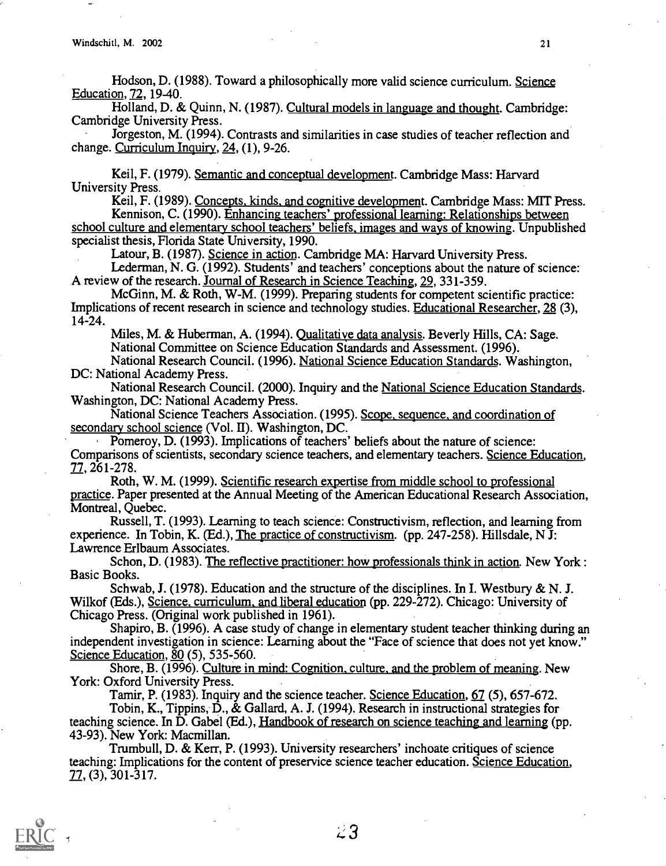Hodson, D. (1988). Toward a philosophically more valid science curriculum. Science Education, 72, 19-40.

Holland, D. & Quinn, N. (1987). Cultural models in language and thought. Cambridge: Cambridge University Press.

Jorgeston, M. (1994). Contrasts and similarities in case studies of teacher reflection and change. Curriculum Inquiry, 24, (1), 9-26.

Keil, F. (1979). Semantic and conceptual development. Cambridge Mass: Harvard University Press.

Keil, F. (1989). Concepts, kinds, and cognitive development. Cambridge Mass: MIT Press.

Kennison, C. (1990). Enhancing teachers' professional learning: Relationships between school culture and elementary school teachers' beliefs, images and ways of knowing. Unpublished specialist thesis, Florida State University, 1990.

Latour, B. (1987). Science in action. Cambridge MA: Harvard University Press.

Lederman, N. G. (1992). Students' and teachers' conceptions about the nature of science: A review of the research. Journal of Research in Science Teaching, 29, 331-359.

McGinn, M. & Roth, W-M. (1999). Preparing students for competent scientific practice: Implications of recent research in science and technology studies. Educational Researcher, 28 (3), 14-24.

Miles, M. & Huberman, A. (1994). Qualitative data analysis. Beverly Hills, CA: Sage. National Committee on Science Education Siandards and Assessment. (1996).

National Research Council. (1996). National Science Education Standards. Washington, DC: National Academy Press.

National Research Council. (2000). Inquiry and the National Science Education Standards. Washington, DC: National Academy Press.

National Science Teachers Association. (1995). Scope. sequence, and coordination of secondary school science (Vol. II). Washington, DC.

Pomeroy, D. (1993). Implications of teachers' beliefs about the nature of science: Comparisons of scientists, secondary science teachers, and elementary teachers. Science Education, 77, 261-278.

Roth, W. M. (1999). Scientific research expertise from middle school to professional practice. Paper presented at the Annual Meeting of the American Educational Research Association, Montreal, Quebec.

Russell, T. (1993). Learning to teach science: Constructivism, reflection, and learning from experience. In Tobin, K. (Ed.), The practice of constructivism. (pp. 247-258). Hillsdale, N J: Lawrence Erlbaum Associates.

Schon, D. (1983). The reflective practitioner: how professionals think in action. New York : Basic Books.

Schwab, J. (1978). Education and the structure of the disciplines. In I. Westbury & N. J. Wilkof (Eds.), Science, curriculum, and liberal education (pp. 229-272). Chicago: University of Chicago Press. (Original work published in 1961).

Shapiro, B. (1996). A case study of change in elementary student teacher thinking during an independent investigation in science: Learning about the "Face of science that does not yet know." Science Education, 80 (5), 535-560.

Shore, B. (1996). Culture in mind: Cognition, culture, and the problem of meaning. New York: Oxford University Press.

Tamir, P. (1983). Inquiry and the science teacher. Science Education, 67 (5), 657-672.

Tobin, K., Tippins, D., & Gallard, A. J. (1994). Research in instructional strategies for teaching science. In D. Gabel (Ed.), Handbook of research on science teaching\_and learning (pp. 43-93). New York: Macmillan.

Trumbull, D. & Kerr, P. (1993). University researchers' inchoate critiques of science teaching: Implications for the content of preservice science teacher education. Science Education,  $77, (3), 301 - 317.$ 

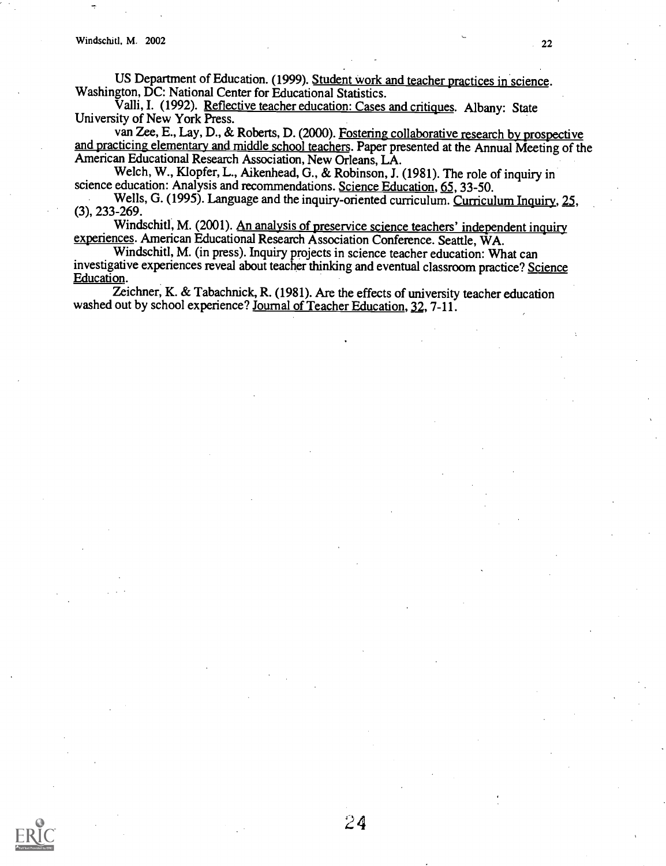US Department of Education. (1999). Student work and teacher practices in science. Washington, DC: National Center for Educational Statistics.

Valli, I. (1992). Reflective teacher education: Cases and critiques. Albany: State University of New York Press.

van Zee, E., Lay, D., & Roberts, D. (2000). Fostering collaborative research by prospective and practicing elementary and middle school teachers. Paper presented at the Annual Meeting of the American Educational Research Association, New Orleans, LA.

Welch, W., Klopfer, L., Aikenhead, G., & Robinson, J. (1981). The role of inquiry in science education: Analysis and recommendations. Science Education, 65, 33-50.

Wells, G. (1995). Language and the inquiry-oriented curriculum. Curriculum Inquiry, 25, (3), 233-269.

Windschitl, M. (2001). An analysis of preservice science teachers' independent inquiry experiences. American Educational Research Association Conference. Seattle, WA.

Windschitl, M. (in press). Inquiry projects in science teacher education: What can investigative experiences reveal about teacher thinking and eventual classroom practice? Science Education.

24

Zeichner, K. & Tabachnick, R. (1981). Are the effects of university teacher education washed out by school experience? Journal of Teacher Education, 32, 7-11.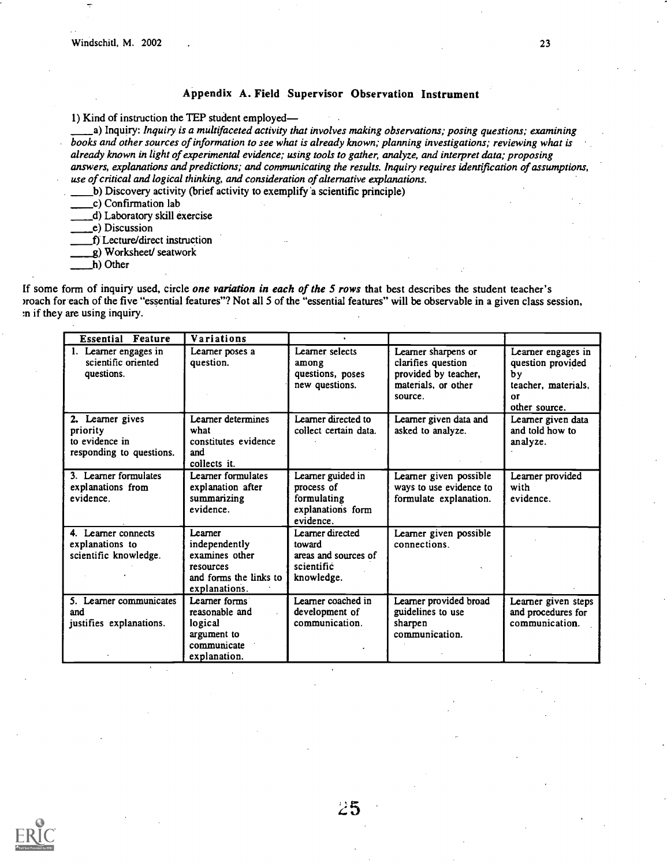### Appendix A. Field Supervisor Observation Instrument

1) Kind of instruction the TEP student employed

a) Inquiry: Inquiry is a multifaceted activity that involves making observations; posing questions; examining books and other sources of information to see what is already known; planning investigations; reviewing what is already known in light of experimental evidence; using tools to gather, analyze, and interpret data; proposing answers, explanations and predictions; and communicating the results. Inquiry requires identification of asswnptions, use of critical and logical thinking, and consideration of alternative explanations.

b) Discovery activity (brief activity to exemplify 'a scientific principle)

c) Confirmation lab

d) Laboratory skill exercise

e) Discussion

f) Lecture/direct instruction

Worksheet/ seatwork

h) Other

If some form of inquiry used, circle one variation in each of the 5 rows that best describes the student teacher's roach for each of the five "essential features"? Not all 5 of the "essential features" will be observable in a given class session, :n if they are using inquiry.

| <b>Essential Feature</b>                                                   | <b>Variations</b>                                                                                          |                                                                                  |                                                                                                     |                                                                                             |
|----------------------------------------------------------------------------|------------------------------------------------------------------------------------------------------------|----------------------------------------------------------------------------------|-----------------------------------------------------------------------------------------------------|---------------------------------------------------------------------------------------------|
| 1. Learner engages in<br>scientific oriented<br>questions.                 | Learner poses a<br>question.                                                                               | Learner selects<br>among<br>questions, poses<br>new questions.                   | Learner sharpens or<br>clarifies question<br>provided by teacher,<br>materials, or other<br>source. | Learner engages in<br>question provided<br>by<br>teacher, materials.<br>0T<br>other source. |
| 2. Learner gives<br>priority<br>to evidence in<br>responding to questions. | Learner determines<br>what<br>constitutes evidence<br>and<br>collects it.                                  | Learner directed to<br>collect certain data.                                     | Learner given data and<br>asked to analyze.                                                         | Learner given data<br>and told how to<br>analyze.                                           |
| 3. Learner formulates<br>explanations from<br>evidence.                    | Learner formulates<br>explanation after<br>summarizing<br>evidence.                                        | Learner guided in<br>process of<br>formulating<br>explanations form<br>evidence. | Learner given possible<br>ways to use evidence to<br>formulate explanation.                         | Learner provided<br>with<br>evidence.                                                       |
| 4. Learner connects<br>explanations to<br>scientific knowledge.            | I earner<br>independently<br>examines other<br><b>resources</b><br>and forms the links to<br>explanations. | Learner directed<br>toward<br>areas and sources of<br>scientific<br>knowledge.   | Learner given possible<br>connections.                                                              |                                                                                             |
| 5. Learner communicates<br>and<br>justifies explanations.                  | Learner forms<br>reasonable and<br>logical<br>argument to<br>communicate<br>explanation.                   | Learner coached in<br>development of<br>communication.                           | Learner provided broad<br>guidelines to use<br>sharpen<br>communication.                            | Learner given steps<br>and procedures for<br>communication.                                 |

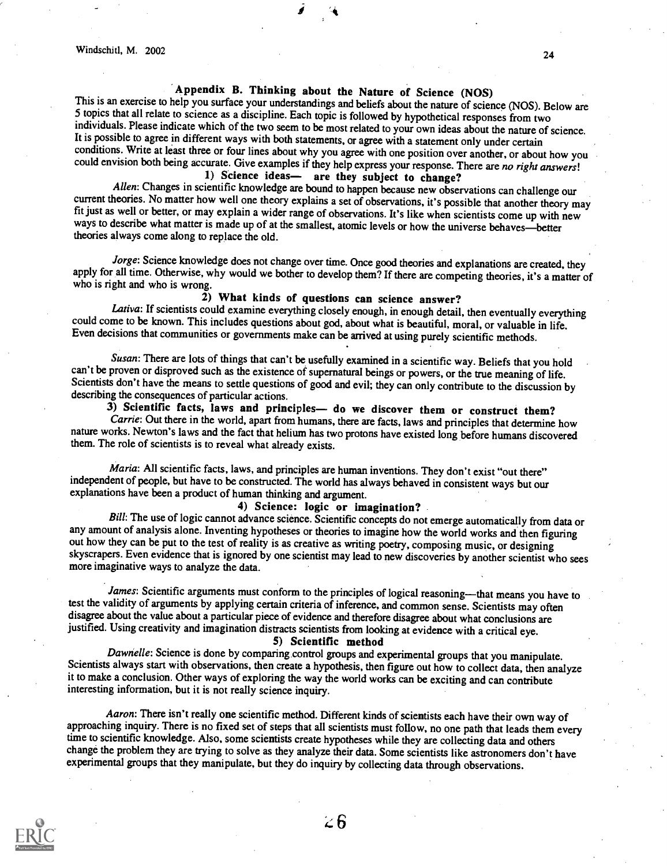Appendix B. Thinking about the Nature of Science (NOS)<br>This is an exercise to help you surface your understandings and beliefs about the nature of science (NOS). Below are<br>5 topics that all relate to science as a disciplin It is possible to agree in different ways with both statements, or agree with a statement only under certain conditions. Write at least three or four lines about why you agree with one position over another, or about how you could envision both being accurate. Give examples if they help express your response. There are no right a

1) Science ideas— are they subject to change?<br>Allen: Changes in scientific knowledge are bound to happen because new observations can challenge our current theories. No matter how well one theory explains a set of observat fit just as well or better, or may explain a wider range of observations. It's like when scientists come up with new ways to describe what matter is made up of at the smallest, atomic levels or how the universe behaves—better theories always come along to replace the old.

Jorge: Science knowledge does not change over time. Once good theories and explanations are created, they apply for all time. Otherwise, why would we bother to develop them? If there are competing theories, it's a matter of who is right and who is wrong.

### 2) What kinds of questions can science answer?

Lativa: If scientists could examine everything closely enough, in enough detail, then eventually everything could come to be known. This includes questions about god, about what is beautiful, moral, or valuable in life. Even decisions that communities or governments make can be arrived at using purely scientific methods.

Susan: There are lots of things that can't be usefully examined in a scientific way. Beliefs that you hold can't be proven or disproved such as the existence of supernatural beings or powers, or the true meaning of life. Scientists don't have the means to settle questions of good and evil; they can only contribute to the discussion by describing the consequences of particular actions.

 $3)$  Scientific facts, laws and principles- do we discover them or construct them?

Carrie: Out there in the world, apart from humans, there are facts, laws and principles that determine how nature works. Newton's laws and the fact that helium has two protons have existed long before humans discovered them. The role of scientists is to reveal what already exists.

Maria: All scientific facts, laws, and principles are human inventions. They don't exist "out there" independent of people, but have to be constructed. The world has always behaved in consistent ways but our explanations have been a product of human thinking and argument.

#### 4) Science: logic or imagination?

Bill: The use of logic cannot advance science. Scientific concepts do not emerge automatically from data or any amount of analysis alone. Inventing hypotheses or theories to imagine how the world works and then figuring out how they can be put to the test of reality is as creative as writing poetry, composing music, or designing skyscrapers. Even evidence that is ignored by one scientist may lead to new discoveries by another scientist who sees more imaginative ways to analyze the data.

James: Scientific arguments must conform to the principles of logical reasoning—that means you have to test the validity of arguments by applying certain criteria of inference, and common sense. Scientists may often disagree about the value about a particular piece of evidence and therefore disagree aboutwhat conclusions are justified. Using creativity and imagination distracts scientists from looking at evidence with a critical eye.<br>5) Scientific method<br>Dawnelle: Science is done by comparing control groups and experimental groups that you man

Scientists always start with observations, then create a hypothesis, then figure out how to collect data, then analyze it to make a conclusion. Other ways of exploring the way the world works can be exciting and can contribute interesting information, but it is not really science inquiry.

Aaron: There isn't really one scientific method. Different kinds of scientists each have their own way of approaching inquiry. There is no fixed set of steps that all scientists must follow, no one path that leads them eve time to scientific knowledge. Also, some scientists create hypotheses while they are collecting data and others change the problem they are trying to solve as they analyze their data. Some scientists like astronomers don't have experimental groups that they manipulate, but they do inquiry by collecting data through observations.



 $\angle 6$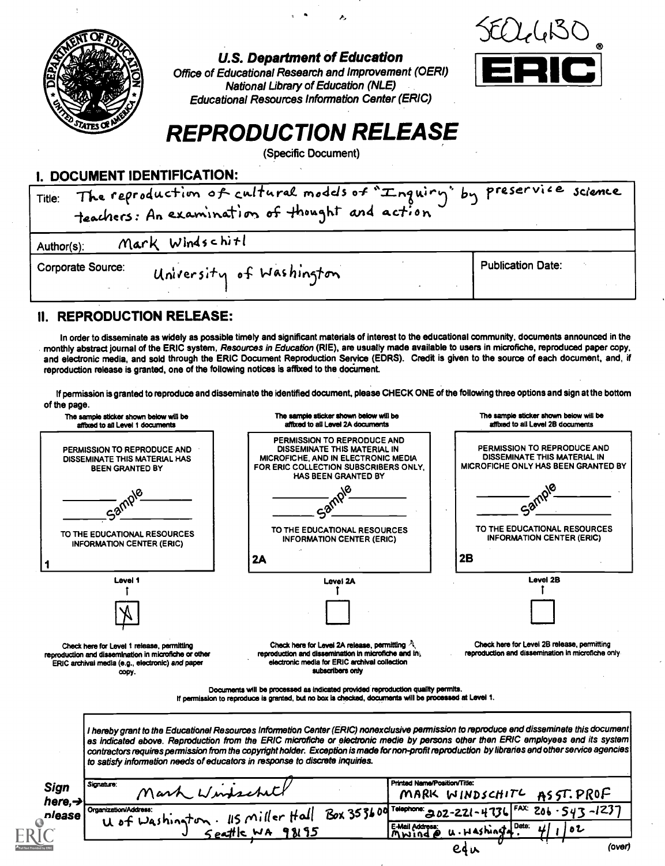

U.S. Department of Education



## Office of Educational Research and Improvement (OERI) National Library of Education (NLE) Educational Resources Information Center (ERIC)

# REPRODUCTION RELEASE

(Specific Document)

## I. DOCUMENT IDENTIFICATION:

| The reproduction of cultural models of "Inquiry" by preservice science<br>Title:<br>teachers: An examination of thought and action |                          |  |  |  |  |  |
|------------------------------------------------------------------------------------------------------------------------------------|--------------------------|--|--|--|--|--|
| Mark Windschitl<br>Author(s):                                                                                                      |                          |  |  |  |  |  |
| Corporate Source:<br>University of Washington                                                                                      | <b>Publication Date:</b> |  |  |  |  |  |

## II. REPRODUCTION RELEASE:

In order to disseminate as widely as possible timely and significant materials of interest to the educational community, documents announced in the monthly abstract journal of the ERIC system, Resources in Education (RIE), are usually made available to users in microfiche, reproduced paper copy, and electronic media, and sold through the ERIC Document Reproduction Seryice (EDRS). Credit is given to the source of each document, and, if reproduction release is granted, one of the following notices is affixed to the document

If permission is granted to reproduce and disseminate the identified document, please CHECK ONE of the following three options and sign at the bottom of the page.

| The sample sticker shown below will be<br>affixed to all Level 1 documents                                                                                       | The sample sticker shown below will be<br>affixed to all Level 2A documents                                                                                                              | The sample sticker shown below will be<br>affixed to all Level 2B documents                                                                                                                                                                                                                                                                                                                                                       |
|------------------------------------------------------------------------------------------------------------------------------------------------------------------|------------------------------------------------------------------------------------------------------------------------------------------------------------------------------------------|-----------------------------------------------------------------------------------------------------------------------------------------------------------------------------------------------------------------------------------------------------------------------------------------------------------------------------------------------------------------------------------------------------------------------------------|
| PERMISSION TO REPRODUCE AND<br>DISSEMINATE THIS MATERIAL HAS<br><b>BEEN GRANTED BY</b>                                                                           | PERMISSION TO REPRODUCE AND<br>DISSEMINATE THIS MATERIAL IN<br>MICROFICHE, AND IN ELECTRONIC MEDIA<br>FOR ERIC COLLECTION SUBSCRIBERS ONLY.<br><b>HAS BEEN GRANTED BY</b>                | PERMISSION TO REPRODUCE AND<br><b>DISSEMINATE THIS MATERIAL IN</b><br><b>MICROFICHE ONLY HAS BEEN GRANTED BY</b>                                                                                                                                                                                                                                                                                                                  |
| Sam                                                                                                                                                              |                                                                                                                                                                                          |                                                                                                                                                                                                                                                                                                                                                                                                                                   |
| TO THE EDUCATIONAL RESOURCES<br><b>INFORMATION CENTER (ERIC)</b>                                                                                                 | TO THE EDUCATIONAL RESOURCES<br><b>INFORMATION CENTER (ERIC)</b>                                                                                                                         | TO THE EDUCATIONAL RESOURCES<br><b>INFORMATION CENTER (ERIC)</b>                                                                                                                                                                                                                                                                                                                                                                  |
|                                                                                                                                                                  | 2A                                                                                                                                                                                       | 2B                                                                                                                                                                                                                                                                                                                                                                                                                                |
| Level 1                                                                                                                                                          | Level 2A                                                                                                                                                                                 | Level 2B                                                                                                                                                                                                                                                                                                                                                                                                                          |
|                                                                                                                                                                  |                                                                                                                                                                                          |                                                                                                                                                                                                                                                                                                                                                                                                                                   |
| Check here for Level 1 release, permitting<br>reproduction and dissemination in microfiche or other<br>ERIC archival media (e.g., electronic) and paper<br>CODY. | Check here for Level 2A release, permitting $\triangle$<br>reproduction and dissemination in microfiche and in<br>electronic media for ERIC archival collection<br>subscribers only      | Check here for Level 2B release, permitting<br>reproduction and dissemination in microfiche only                                                                                                                                                                                                                                                                                                                                  |
|                                                                                                                                                                  | Documents will be processed as indicated provided reproduction quality permits.<br>If permission to reproduce is granted, but no box is checked, documents will be processed at Level 1. |                                                                                                                                                                                                                                                                                                                                                                                                                                   |
|                                                                                                                                                                  | to satisfy information needs of educators in response to discrete inquiries.                                                                                                             | I hereby grant to the Educationel Resources Informetion Center (ERIC) nonexclusive permission to reproduce end disseminete this document<br>es indicated ebove. Reproduction from the ERIC microfiche or electronic medie by persons other then ERIC employees end its system<br>contractors requires permission from the copyright holder. Exception is made for non-profit reproduction by libraries end other service agencies |
| Signature:<br>Sign<br>here, $\rightarrow$                                                                                                                        | Mark Windschill<br>Organization/Address:<br>U of Washington. 115 miller Hall Box 353600<br>Seattle WA 98195                                                                              | <b>Printed Name/Position/Title:</b><br>MARK WINDSCHITC ASST. PROF                                                                                                                                                                                                                                                                                                                                                                 |
| nlease                                                                                                                                                           |                                                                                                                                                                                          | Telephone: 202-221-4736 FAX: 206 · 543-1237                                                                                                                                                                                                                                                                                                                                                                                       |
|                                                                                                                                                                  |                                                                                                                                                                                          | E-Mail Address: u. Hashington                                                                                                                                                                                                                                                                                                                                                                                                     |
|                                                                                                                                                                  |                                                                                                                                                                                          | (over)<br>edir                                                                                                                                                                                                                                                                                                                                                                                                                    |